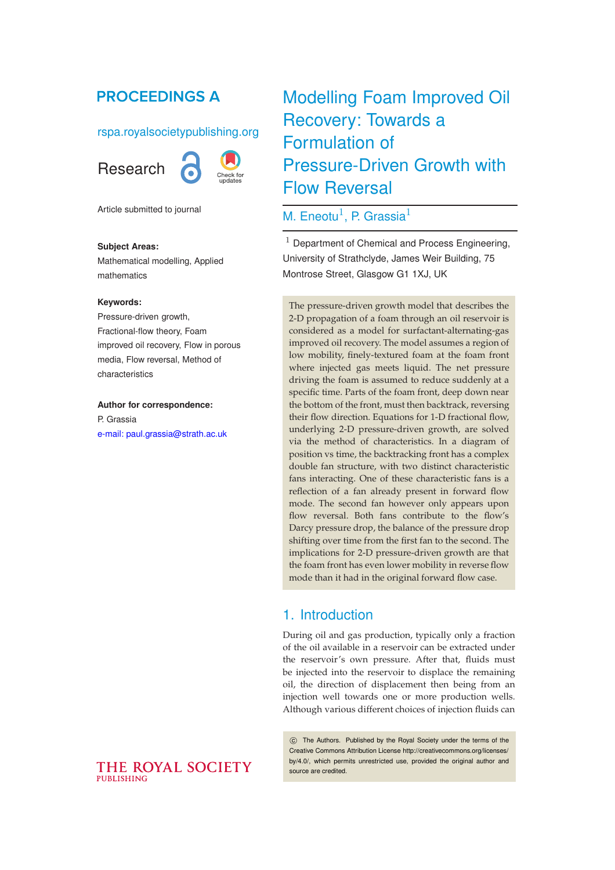## **PROCEEDINGS A**

## rspa.royalsocietypublishing.org





Article submitted to journal

#### **Subject Areas:**

Mathematical modelling, Applied mathematics

#### **Keywords:**

Pressure-driven growth, Fractional-flow theory, Foam improved oil recovery, Flow in porous media, Flow reversal, Method of characteristics

**Author for correspondence:** P. Grassia

[e-mail: paul.grassia@strath.ac.uk](mailto:paul.grassia@strath.ac.uk)

# Modelling Foam Improved Oil Recovery: Towards a Formulation of Pressure-Driven Growth with Flow Reversal

M. Eneotu $^1$ , P. Grassia $^1$ 

 $<sup>1</sup>$  Department of Chemical and Process Engineering,</sup> University of Strathclyde, James Weir Building, 75 Montrose Street, Glasgow G1 1XJ, UK

The pressure-driven growth model that describes the 2-D propagation of a foam through an oil reservoir is considered as a model for surfactant-alternating-gas improved oil recovery. The model assumes a region of low mobility, finely-textured foam at the foam front where injected gas meets liquid. The net pressure driving the foam is assumed to reduce suddenly at a specific time. Parts of the foam front, deep down near the bottom of the front, must then backtrack, reversing their flow direction. Equations for 1-D fractional flow, underlying 2-D pressure-driven growth, are solved via the method of characteristics. In a diagram of position vs time, the backtracking front has a complex double fan structure, with two distinct characteristic fans interacting. One of these characteristic fans is a reflection of a fan already present in forward flow mode. The second fan however only appears upon flow reversal. Both fans contribute to the flow's Darcy pressure drop, the balance of the pressure drop shifting over time from the first fan to the second. The implications for 2-D pressure-driven growth are that the foam front has even lower mobility in reverse flow mode than it had in the original forward flow case.

## 1. Introduction

During oil and gas production, typically only a fraction of the oil available in a reservoir can be extracted under the reservoir's own pressure. After that, fluids must be injected into the reservoir to displace the remaining oil, the direction of displacement then being from an injection well towards one or more production wells. Although various different choices of injection fluids can

 c The Authors. Published by the Royal Society under the terms of the Creative Commons Attribution License http://creativecommons.org/licenses/ by/4.0/, which permits unrestricted use, provided the original author and source are credited.

## THE ROYAL SOCIETY PHRI ISHING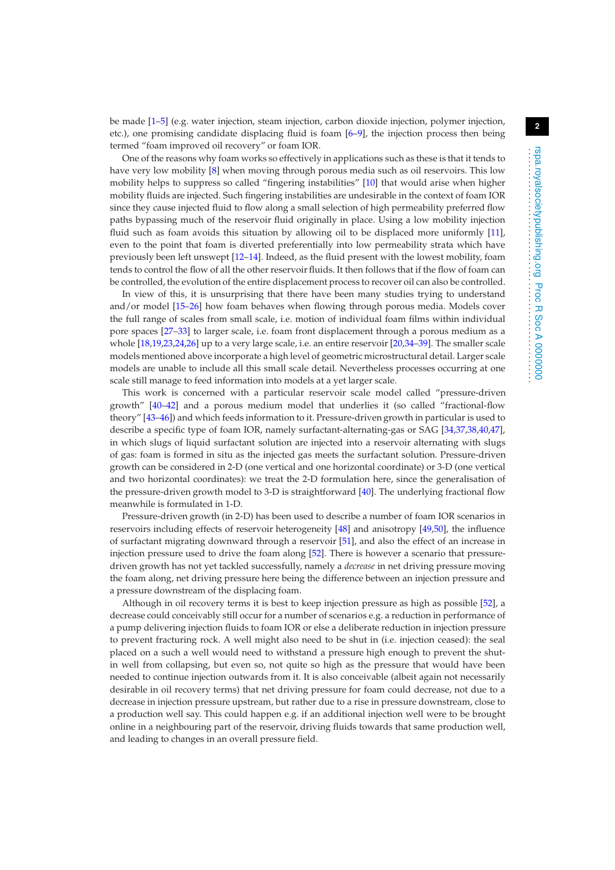. . . . . . . . . . . . . . . . . . . . . . . . . . . . . . . . . . . . . . . . . . . . . . . . . . . rspa.royalsocietypublishing.org Proc R Soc A 0000000

. . . . . . .

One of the reasons why foam works so effectively in applications such as these is that it tends to have very low mobility [\[8\]](#page-24-4) when moving through porous media such as oil reservoirs. This low mobility helps to suppress so called "fingering instabilities" [\[10\]](#page-24-5) that would arise when higher mobility fluids are injected. Such fingering instabilities are undesirable in the context of foam IOR since they cause injected fluid to flow along a small selection of high permeability preferred flow paths bypassing much of the reservoir fluid originally in place. Using a low mobility injection fluid such as foam avoids this situation by allowing oil to be displaced more uniformly [\[11\]](#page-24-6), even to the point that foam is diverted preferentially into low permeability strata which have previously been left unswept [\[12–](#page-24-7)[14\]](#page-24-8). Indeed, as the fluid present with the lowest mobility, foam tends to control the flow of all the other reservoir fluids. It then follows that if the flow of foam can be controlled, the evolution of the entire displacement process to recover oil can also be controlled.

In view of this, it is unsurprising that there have been many studies trying to understand and/or model [\[15](#page-24-9)[–26\]](#page-25-0) how foam behaves when flowing through porous media. Models cover the full range of scales from small scale, i.e. motion of individual foam films within individual pore spaces [\[27–](#page-25-1)[33\]](#page-25-2) to larger scale, i.e. foam front displacement through a porous medium as a whole [\[18,](#page-24-10)[19](#page-24-11)[,23](#page-24-12)[,24,](#page-25-3)[26\]](#page-25-0) up to a very large scale, i.e. an entire reservoir [\[20,](#page-24-13)[34](#page-25-4)[–39\]](#page-25-5). The smaller scale models mentioned above incorporate a high level of geometric microstructural detail. Larger scale models are unable to include all this small scale detail. Nevertheless processes occurring at one scale still manage to feed information into models at a yet larger scale.

This work is concerned with a particular reservoir scale model called "pressure-driven growth" [\[40](#page-25-6)[–42\]](#page-25-7) and a porous medium model that underlies it (so called "fractional-flow theory" [\[43](#page-25-8)[–46\]](#page-26-0)) and which feeds information to it. Pressure-driven growth in particular is used to describe a specific type of foam IOR, namely surfactant-alternating-gas or SAG [\[34,](#page-25-4)[37](#page-25-9)[,38](#page-25-10)[,40,](#page-25-6)[47\]](#page-26-1), in which slugs of liquid surfactant solution are injected into a reservoir alternating with slugs of gas: foam is formed in situ as the injected gas meets the surfactant solution. Pressure-driven growth can be considered in 2-D (one vertical and one horizontal coordinate) or 3-D (one vertical and two horizontal coordinates): we treat the 2-D formulation here, since the generalisation of the pressure-driven growth model to 3-D is straightforward [\[40\]](#page-25-6). The underlying fractional flow meanwhile is formulated in 1-D.

Pressure-driven growth (in 2-D) has been used to describe a number of foam IOR scenarios in reservoirs including effects of reservoir heterogeneity [\[48\]](#page-26-2) and anisotropy [\[49,](#page-26-3)[50\]](#page-26-4), the influence of surfactant migrating downward through a reservoir [\[51\]](#page-26-5), and also the effect of an increase in injection pressure used to drive the foam along [\[52\]](#page-26-6). There is however a scenario that pressuredriven growth has not yet tackled successfully, namely a *decrease* in net driving pressure moving the foam along, net driving pressure here being the difference between an injection pressure and a pressure downstream of the displacing foam.

Although in oil recovery terms it is best to keep injection pressure as high as possible [\[52\]](#page-26-6), a decrease could conceivably still occur for a number of scenarios e.g. a reduction in performance of a pump delivering injection fluids to foam IOR or else a deliberate reduction in injection pressure to prevent fracturing rock. A well might also need to be shut in (i.e. injection ceased): the seal placed on a such a well would need to withstand a pressure high enough to prevent the shutin well from collapsing, but even so, not quite so high as the pressure that would have been needed to continue injection outwards from it. It is also conceivable (albeit again not necessarily desirable in oil recovery terms) that net driving pressure for foam could decrease, not due to a decrease in injection pressure upstream, but rather due to a rise in pressure downstream, close to a production well say. This could happen e.g. if an additional injection well were to be brought online in a neighbouring part of the reservoir, driving fluids towards that same production well, and leading to changes in an overall pressure field.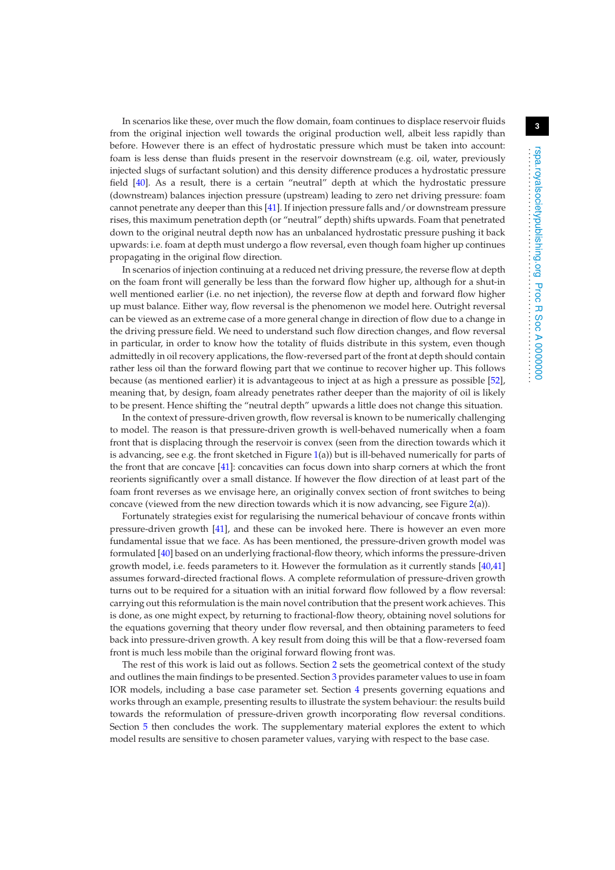In scenarios like these, over much the flow domain, foam continues to displace reservoir fluids from the original injection well towards the original production well, albeit less rapidly than before. However there is an effect of hydrostatic pressure which must be taken into account: foam is less dense than fluids present in the reservoir downstream (e.g. oil, water, previously injected slugs of surfactant solution) and this density difference produces a hydrostatic pressure field [\[40\]](#page-25-6). As a result, there is a certain "neutral" depth at which the hydrostatic pressure (downstream) balances injection pressure (upstream) leading to zero net driving pressure: foam cannot penetrate any deeper than this [\[41\]](#page-25-11). If injection pressure falls and/or downstream pressure rises, this maximum penetration depth (or "neutral" depth) shifts upwards. Foam that penetrated down to the original neutral depth now has an unbalanced hydrostatic pressure pushing it back upwards: i.e. foam at depth must undergo a flow reversal, even though foam higher up continues propagating in the original flow direction.

In scenarios of injection continuing at a reduced net driving pressure, the reverse flow at depth on the foam front will generally be less than the forward flow higher up, although for a shut-in well mentioned earlier (i.e. no net injection), the reverse flow at depth and forward flow higher up must balance. Either way, flow reversal is the phenomenon we model here. Outright reversal can be viewed as an extreme case of a more general change in direction of flow due to a change in the driving pressure field. We need to understand such flow direction changes, and flow reversal in particular, in order to know how the totality of fluids distribute in this system, even though admittedly in oil recovery applications, the flow-reversed part of the front at depth should contain rather less oil than the forward flowing part that we continue to recover higher up. This follows because (as mentioned earlier) it is advantageous to inject at as high a pressure as possible [\[52\]](#page-26-6), meaning that, by design, foam already penetrates rather deeper than the majority of oil is likely to be present. Hence shifting the "neutral depth" upwards a little does not change this situation.

In the context of pressure-driven growth, flow reversal is known to be numerically challenging to model. The reason is that pressure-driven growth is well-behaved numerically when a foam front that is displacing through the reservoir is convex (seen from the direction towards which it is advancing, see e.g. the front sketched in Figure [1\(](#page-3-0)a)) but is ill-behaved numerically for parts of the front that are concave [\[41\]](#page-25-11): concavities can focus down into sharp corners at which the front reorients significantly over a small distance. If however the flow direction of at least part of the foam front reverses as we envisage here, an originally convex section of front switches to being concave (viewed from the new direction towards which it is now advancing, see Figure [2\(](#page-4-0)a)).

Fortunately strategies exist for regularising the numerical behaviour of concave fronts within pressure-driven growth [\[41\]](#page-25-11), and these can be invoked here. There is however an even more fundamental issue that we face. As has been mentioned, the pressure-driven growth model was formulated [\[40\]](#page-25-6) based on an underlying fractional-flow theory, which informs the pressure-driven growth model, i.e. feeds parameters to it. However the formulation as it currently stands [\[40,](#page-25-6)[41\]](#page-25-11) assumes forward-directed fractional flows. A complete reformulation of pressure-driven growth turns out to be required for a situation with an initial forward flow followed by a flow reversal: carrying out this reformulation is the main novel contribution that the present work achieves. This is done, as one might expect, by returning to fractional-flow theory, obtaining novel solutions for the equations governing that theory under flow reversal, and then obtaining parameters to feed back into pressure-driven growth. A key result from doing this will be that a flow-reversed foam front is much less mobile than the original forward flowing front was.

<span id="page-2-0"></span>The rest of this work is laid out as follows. Section [2](#page-2-0) sets the geometrical context of the study and outlines the main findings to be presented. Section [3](#page-6-0) provides parameter values to use in foam IOR models, including a base case parameter set. Section [4](#page-8-0) presents governing equations and works through an example, presenting results to illustrate the system behaviour: the results build towards the reformulation of pressure-driven growth incorporating flow reversal conditions. Section [5](#page-22-0) then concludes the work. The supplementary material explores the extent to which model results are sensitive to chosen parameter values, varying with respect to the base case.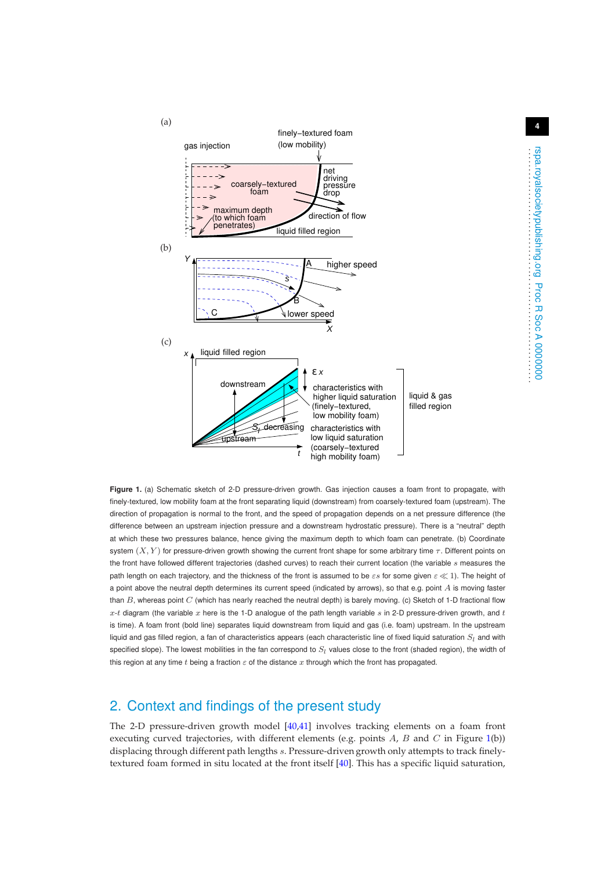

liquid & gas filled region

<span id="page-3-0"></span>**Figure 1.** (a) Schematic sketch of 2-D pressure-driven growth. Gas injection causes a foam front to propagate, with finely-textured, low mobility foam at the front separating liquid (downstream) from coarsely-textured foam (upstream). The direction of propagation is normal to the front, and the speed of propagation depends on a net pressure difference (the difference between an upstream injection pressure and a downstream hydrostatic pressure). There is a "neutral" depth at which these two pressures balance, hence giving the maximum depth to which foam can penetrate. (b) Coordinate system  $(X, Y)$  for pressure-driven growth showing the current front shape for some arbitrary time  $\tau$ . Different points on the front have followed different trajectories (dashed curves) to reach their current location (the variable s measures the path length on each trajectory, and the thickness of the front is assumed to be  $\varepsilon s$  for some given  $\varepsilon \ll 1$ ). The height of a point above the neutral depth determines its current speed (indicated by arrows), so that e.g. point  $A$  is moving faster than  $B$ , whereas point  $C$  (which has nearly reached the neutral depth) is barely moving. (c) Sketch of 1-D fractional flow x-t diagram (the variable x here is the 1-D analogue of the path length variable s in 2-D pressure-driven growth, and t is time). A foam front (bold line) separates liquid downstream from liquid and gas (i.e. foam) upstream. In the upstream liquid and gas filled region, a fan of characteristics appears (each characteristic line of fixed liquid saturation  $S_l$  and with specified slope). The lowest mobilities in the fan correspond to  $S_l$  values close to the front (shaded region), the width of this region at any time t being a fraction  $\varepsilon$  of the distance x through which the front has propagated.

## 2. Context and findings of the present study

The 2-D pressure-driven growth model [\[40](#page-25-6)[,41\]](#page-25-11) involves tracking elements on a foam front executing curved trajectories, with different elements (e.g. points  $A$ ,  $B$  and  $C$  in Figure [1\(](#page-3-0)b)) displacing through different path lengths s. Pressure-driven growth only attempts to track finelytextured foam formed in situ located at the front itself [\[40\]](#page-25-6). This has a specific liquid saturation, **4**

. . . . . . . . . . . . . . . . . . . . . . . . . . . . . . . . . . . . . . . . . . . . . . . . . . . rspa.royalsocietypublishing.org Proc R Soc A 0000000

rspa.royalsocietypublishing.org

. . . . . . .

Proc R Soc A 0000000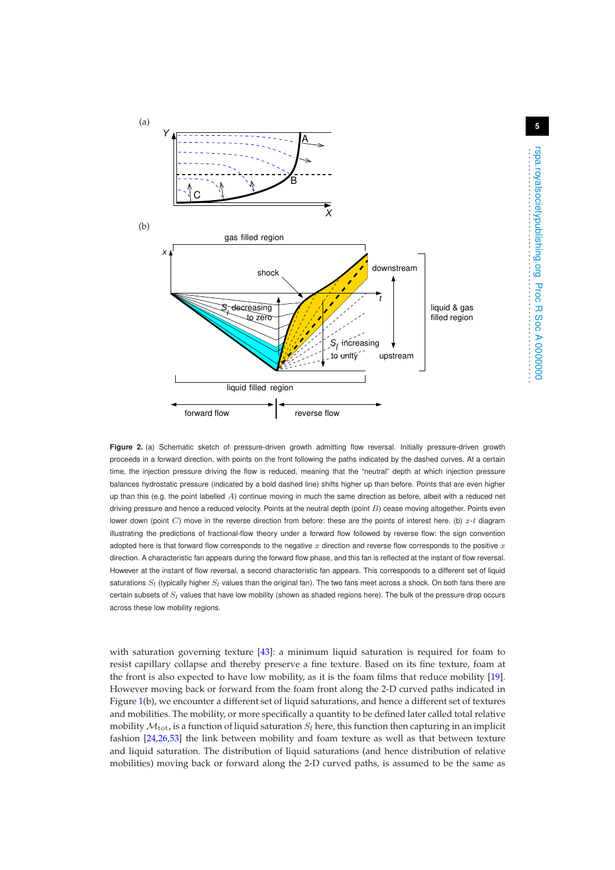

<span id="page-4-0"></span>**Figure 2.** (a) Schematic sketch of pressure-driven growth admitting flow reversal. Initially pressure-driven growth proceeds in a forward direction, with points on the front following the paths indicated by the dashed curves. At a certain time, the injection pressure driving the flow is reduced, meaning that the "neutral" depth at which injection pressure balances hydrostatic pressure (indicated by a bold dashed line) shifts higher up than before. Points that are even higher up than this (e.g. the point labelled  $A$ ) continue moving in much the same direction as before, albeit with a reduced net driving pressure and hence a reduced velocity. Points at the neutral depth (point  $B$ ) cease moving altogether. Points even lower down (point  $C$ ) move in the reverse direction from before: these are the points of interest here. (b)  $x-t$  diagram illustrating the predictions of fractional-flow theory under a forward flow followed by reverse flow: the sign convention adopted here is that forward flow corresponds to the negative  $x$  direction and reverse flow corresponds to the positive  $x$ direction. A characteristic fan appears during the forward flow phase, and this fan is reflected at the instant of flow reversal. However at the instant of flow reversal, a second characteristic fan appears. This corresponds to a different set of liquid saturations  $S_l$  (typically higher  $S_l$  values than the original fan). The two fans meet across a shock. On both fans there are certain subsets of  $S_l$  values that have low mobility (shown as shaded regions here). The bulk of the pressure drop occurs across these low mobility regions.

with saturation governing texture [\[43\]](#page-25-8): a minimum liquid saturation is required for foam to resist capillary collapse and thereby preserve a fine texture. Based on its fine texture, foam at the front is also expected to have low mobility, as it is the foam films that reduce mobility [\[19\]](#page-24-11). However moving back or forward from the foam front along the 2-D curved paths indicated in Figure [1\(](#page-3-0)b), we encounter a different set of liquid saturations, and hence a different set of textures and mobilities. The mobility, or more specifically a quantity to be defined later called total relative mobility  $\mathcal{M}_{\text{tot}}$ , is a function of liquid saturation  $S_l$  here, this function then capturing in an implicit fashion [\[24,](#page-25-3)[26](#page-25-0)[,53\]](#page-26-7) the link between mobility and foam texture as well as that between texture and liquid saturation. The distribution of liquid saturations (and hence distribution of relative mobilities) moving back or forward along the 2-D curved paths, is assumed to be the same as **5**

. . . . . . . . . . . . . . . . . . . . . . . . . . . . . . . . . . . . . . . . . . . . . . . . . . . rspa.royalsocietypublishing.org Proc R Soc A 0000000

. . . . . . .

Proc R Soc A 0000000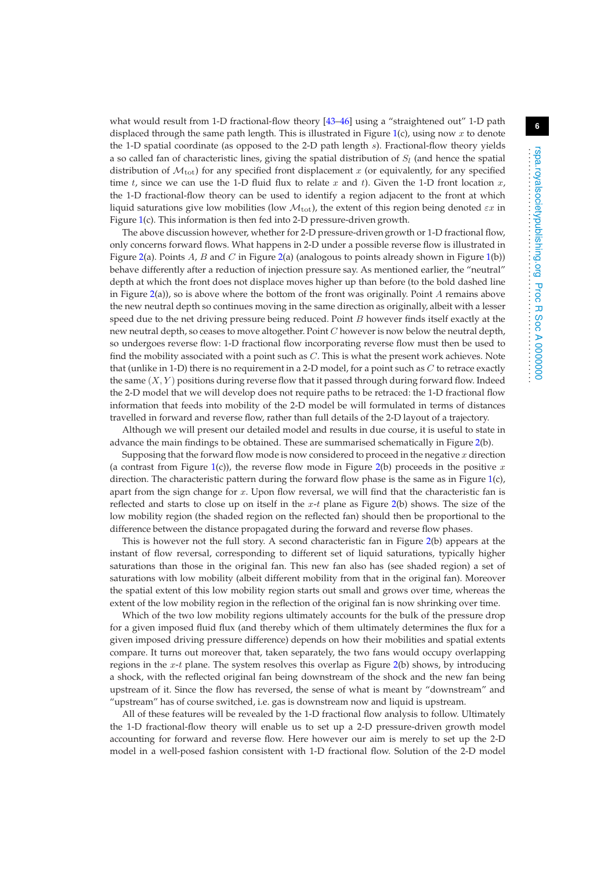what would result from 1-D fractional-flow theory [\[43](#page-25-8)[–46\]](#page-26-0) using a "straightened out" 1-D path displaced through the same path length. This is illustrated in Figure  $1(c)$  $1(c)$ , using now x to denote the 1-D spatial coordinate (as opposed to the 2-D path length s). Fractional-flow theory yields a so called fan of characteristic lines, giving the spatial distribution of  $S_l$  (and hence the spatial distribution of  $\mathcal{M}_{\text{tot}}$ ) for any specified front displacement x (or equivalently, for any specified time t, since we can use the 1-D fluid flux to relate x and t). Given the 1-D front location x, the 1-D fractional-flow theory can be used to identify a region adjacent to the front at which liquid saturations give low mobilities (low  $\mathcal{M}_{\text{tot}}$ ), the extent of this region being denoted  $\varepsilon x$  in Figure [1\(](#page-3-0)c). This information is then fed into 2-D pressure-driven growth. The above discussion however, whether for 2-D pressure-driven growth or 1-D fractional flow,

only concerns forward flows. What happens in 2-D under a possible reverse flow is illustrated in Figure [2\(](#page-4-0)a). Points A, B and C in Figure 2(a) (analogous to points already shown in Figure [1\(](#page-3-0)b)) behave differently after a reduction of injection pressure say. As mentioned earlier, the "neutral" depth at which the front does not displace moves higher up than before (to the bold dashed line in Figure [2\(](#page-4-0)a)), so is above where the bottom of the front was originally. Point  $A$  remains above the new neutral depth so continues moving in the same direction as originally, albeit with a lesser speed due to the net driving pressure being reduced. Point  $B$  however finds itself exactly at the new neutral depth, so ceases to move altogether. Point C however is now below the neutral depth, so undergoes reverse flow: 1-D fractional flow incorporating reverse flow must then be used to find the mobility associated with a point such as  $C$ . This is what the present work achieves. Note that (unlike in 1-D) there is no requirement in a 2-D model, for a point such as  $C$  to retrace exactly the same  $(X, Y)$  positions during reverse flow that it passed through during forward flow. Indeed the 2-D model that we will develop does not require paths to be retraced: the 1-D fractional flow information that feeds into mobility of the 2-D model be will formulated in terms of distances travelled in forward and reverse flow, rather than full details of the 2-D layout of a trajectory.

Although we will present our detailed model and results in due course, it is useful to state in advance the main findings to be obtained. These are summarised schematically in Figure [2\(](#page-4-0)b).

Supposing that the forward flow mode is now considered to proceed in the negative  $x$  direction (a contrast from Figure [1\(](#page-3-0)c)), the reverse flow mode in Figure [2\(](#page-4-0)b) proceeds in the positive  $x$ direction. The characteristic pattern during the forward flow phase is the same as in Figure [1\(](#page-3-0)c), apart from the sign change for  $x$ . Upon flow reversal, we will find that the characteristic fan is reflected and starts to close up on itself in the  $x-t$  plane as Figure [2\(](#page-4-0)b) shows. The size of the low mobility region (the shaded region on the reflected fan) should then be proportional to the difference between the distance propagated during the forward and reverse flow phases.

This is however not the full story. A second characteristic fan in Figure [2\(](#page-4-0)b) appears at the instant of flow reversal, corresponding to different set of liquid saturations, typically higher saturations than those in the original fan. This new fan also has (see shaded region) a set of saturations with low mobility (albeit different mobility from that in the original fan). Moreover the spatial extent of this low mobility region starts out small and grows over time, whereas the extent of the low mobility region in the reflection of the original fan is now shrinking over time.

Which of the two low mobility regions ultimately accounts for the bulk of the pressure drop for a given imposed fluid flux (and thereby which of them ultimately determines the flux for a given imposed driving pressure difference) depends on how their mobilities and spatial extents compare. It turns out moreover that, taken separately, the two fans would occupy overlapping regions in the  $x-t$  plane. The system resolves this overlap as Figure [2\(](#page-4-0)b) shows, by introducing a shock, with the reflected original fan being downstream of the shock and the new fan being upstream of it. Since the flow has reversed, the sense of what is meant by "downstream" and "upstream" has of course switched, i.e. gas is downstream now and liquid is upstream.

All of these features will be revealed by the 1-D fractional flow analysis to follow. Ultimately the 1-D fractional-flow theory will enable us to set up a 2-D pressure-driven growth model accounting for forward and reverse flow. Here however our aim is merely to set up the 2-D model in a well-posed fashion consistent with 1-D fractional flow. Solution of the 2-D model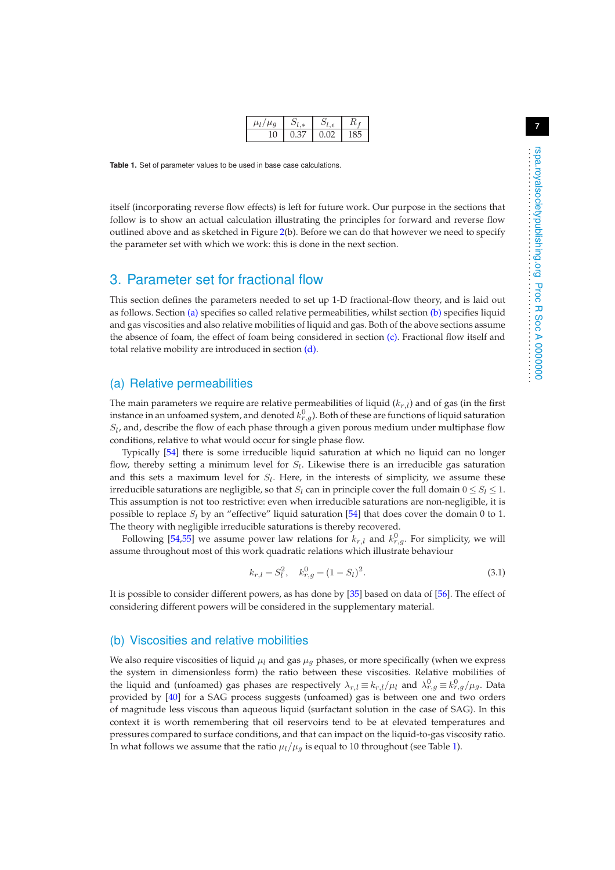| $\mu_l/\mu_q$ |     |      |      |
|---------------|-----|------|------|
|               | 137 | 0.02 | -185 |

<span id="page-6-4"></span>**Table 1.** Set of parameter values to be used in base case calculations.

itself (incorporating reverse flow effects) is left for future work. Our purpose in the sections that follow is to show an actual calculation illustrating the principles for forward and reverse flow outlined above and as sketched in Figure [2\(](#page-4-0)b). Before we can do that however we need to specify the parameter set with which we work: this is done in the next section.

## <span id="page-6-0"></span>3. Parameter set for fractional flow

This section defines the parameters needed to set up 1-D fractional-flow theory, and is laid out as follows. Section [\(a\)](#page-6-1) specifies so called relative permeabilities, whilst section [\(b\)](#page-6-2) specifies liquid and gas viscosities and also relative mobilities of liquid and gas. Both of the above sections assume the absence of foam, the effect of foam being considered in section [\(c\).](#page-6-3) Fractional flow itself and total relative mobility are introduced in section [\(d\).](#page-7-0)

#### <span id="page-6-1"></span>(a) Relative permeabilities

The main parameters we require are relative permeabilities of liquid  $(k_{r,l})$  and of gas (in the first instance in an unfoamed system, and denoted  $k_{r,g}^0$ ). Both of these are functions of liquid saturation  $S_l$ , and, describe the flow of each phase through a given porous medium under multiphase flow conditions, relative to what would occur for single phase flow.

Typically [\[54\]](#page-26-8) there is some irreducible liquid saturation at which no liquid can no longer flow, thereby setting a minimum level for  $S_l$ . Likewise there is an irreducible gas saturation and this sets a maximum level for  $S_l$ . Here, in the interests of simplicity, we assume these irreducible saturations are negligible, so that  $S_l$  can in principle cover the full domain  $0 \leq S_l \leq 1$ . This assumption is not too restrictive: even when irreducible saturations are non-negligible, it is possible to replace  $S_l$  by an "effective" liquid saturation [\[54\]](#page-26-8) that does cover the domain 0 to 1. The theory with negligible irreducible saturations is thereby recovered.

Following [\[54](#page-26-8)[,55\]](#page-26-9) we assume power law relations for  $k_{r,l}$  and  $k_{r,g}^0$ . For simplicity, we will assume throughout most of this work quadratic relations which illustrate behaviour

<span id="page-6-5"></span>
$$
k_{r,l} = S_l^2, \quad k_{r,g}^0 = (1 - S_l)^2. \tag{3.1}
$$

It is possible to consider different powers, as has done by [\[35\]](#page-25-12) based on data of [\[56\]](#page-26-10). The effect of considering different powers will be considered in the supplementary material.

#### <span id="page-6-2"></span>(b) Viscosities and relative mobilities

<span id="page-6-3"></span>We also require viscosities of liquid  $\mu_l$  and gas  $\mu_g$  phases, or more specifically (when we express the system in dimensionless form) the ratio between these viscosities. Relative mobilities of the liquid and (unfoamed) gas phases are respectively  $\lambda_{r,l} \equiv k_{r,l}/\mu_l$  and  $\lambda_{r,g}^0 \equiv k_{r,g}^0/\mu_g$ . Data provided by [\[40\]](#page-25-6) for a SAG process suggests (unfoamed) gas is between one and two orders of magnitude less viscous than aqueous liquid (surfactant solution in the case of SAG). In this context it is worth remembering that oil reservoirs tend to be at elevated temperatures and pressures compared to surface conditions, and that can impact on the liquid-to-gas viscosity ratio. In what follows we assume that the ratio  $\mu_l/\mu_g$  is equal to 10 throughout (see Table [1\)](#page-6-4).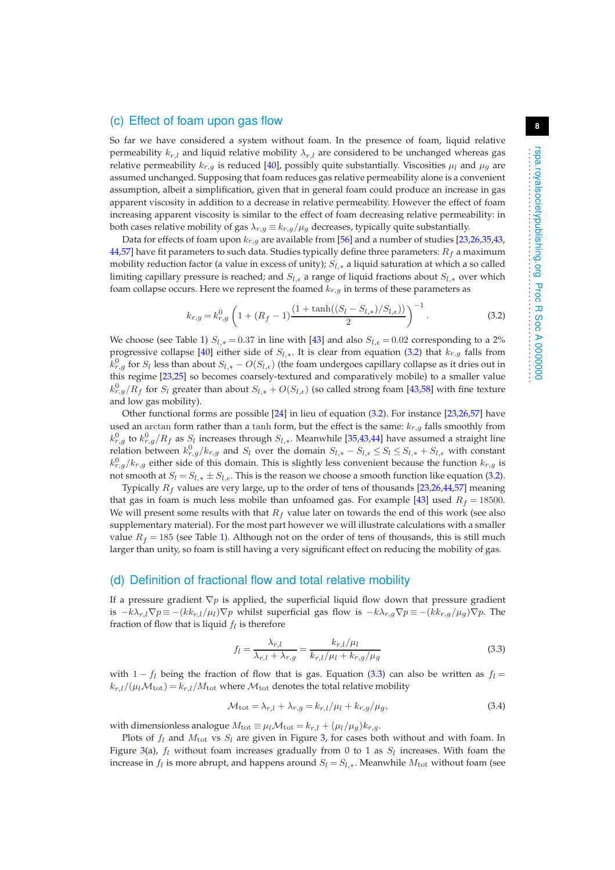#### (c) Effect of foam upon gas flow

So far we have considered a system without foam. In the presence of foam, liquid relative permeability  $k_{r,l}$  and liquid relative mobility  $\lambda_{r,l}$  are considered to be unchanged whereas gas relative permeability  $k_{r,g}$  is reduced [\[40\]](#page-25-6), possibly quite substantially. Viscosities  $\mu_l$  and  $\mu_g$  are assumed unchanged. Supposing that foam reduces gas relative permeability alone is a convenient assumption, albeit a simplification, given that in general foam could produce an increase in gas apparent viscosity in addition to a decrease in relative permeability. However the effect of foam increasing apparent viscosity is similar to the effect of foam decreasing relative permeability: in both cases relative mobility of gas  $\lambda_{r,g} \equiv k_{r,g}/\mu_g$  decreases, typically quite substantially.

Data for effects of foam upon  $k_{r,q}$  are available from [\[56\]](#page-26-10) and a number of studies [\[23](#page-24-12)[,26](#page-25-0)[,35,](#page-25-12)[43,](#page-25-8) [44](#page-26-11)[,57\]](#page-26-12) have fit parameters to such data. Studies typically define three parameters:  $R_f$  a maximum mobility reduction factor (a value in excess of unity);  $S_{l,*}$  a liquid saturation at which a so called limiting capillary pressure is reached; and  $S_{l,\epsilon}$  a range of liquid fractions about  $S_{l,\epsilon}$  over which foam collapse occurs. Here we represent the foamed  $k_{r,q}$  in terms of these parameters as

<span id="page-7-1"></span>
$$
k_{r,g} = k_{r,g}^0 \left( 1 + (R_f - 1) \frac{(1 + \tanh((S_l - S_{l,*})/S_{l,\epsilon}))}{2} \right)^{-1}.
$$
 (3.2)

We choose (see Table [1\)](#page-6-4)  $S_{l,*} = 0.37$  in line with [\[43\]](#page-25-8) and also  $S_{l,*} = 0.02$  corresponding to a 2% progressive collapse [\[40\]](#page-25-6) either side of  $S_{l,*}$ . It is clear from equation [\(3.2\)](#page-7-1) that  $k_{r,g}$  falls from  $k_{r,g}^0$  for  $S_l$  less than about  $S_{l,*}$  –  $O(S_{l,\epsilon})$  (the foam undergoes capillary collapse as it dries out in this regime [\[23,](#page-24-12)[25\]](#page-25-13) so becomes coarsely-textured and comparatively mobile) to a smaller value  $k_{r,g}^0/R_f$  for  $S_l$  greater than about  $S_{l,*}+O(S_{l,\epsilon})$  (so called strong foam [\[43,](#page-25-8)[58\]](#page-26-13) with fine texture and low gas mobility).

Other functional forms are possible [\[24\]](#page-25-3) in lieu of equation [\(3.2\)](#page-7-1). For instance [\[23,](#page-24-12)[26](#page-25-0)[,57\]](#page-26-12) have used an arctan form rather than a tanh form, but the effect is the same:  $k_{r,g}$  falls smoothly from  $k_{r,g}^0$  to  $k_{r,g}^0/R_f$  as  $S_l$  increases through  $S_{l,*}$ . Meanwhile [\[35](#page-25-12)[,43,](#page-25-8)[44\]](#page-26-11) have assumed a straight line relation between  $k_{r,g}^0/k_{r,g}$  and  $S_l$  over the domain  $S_{l,*} - S_{l,\epsilon} \leq S_l \leq S_{l,*} + S_{l,\epsilon}$  with constant  $k_{r,g}^{0}/k_{r,g}$  either side of this domain. This is slightly less convenient because the function  $k_{r,g}$  is not smooth at  $S_l = S_{l,*} \pm S_{l,\epsilon}$ . This is the reason we choose a smooth function like equation [\(3.2\)](#page-7-1).

Typically  $R_f$  values are very large, up to the order of tens of thousands [\[23](#page-24-12)[,26,](#page-25-0)[44,](#page-26-11)[57\]](#page-26-12) meaning that gas in foam is much less mobile than unfoamed gas. For example [\[43\]](#page-25-8) used  $R_f = 18500$ . We will present some results with that  $R_f$  value later on towards the end of this work (see also supplementary material). For the most part however we will illustrate calculations with a smaller value  $R_f = 185$  (see Table [1\)](#page-6-4). Although not on the order of tens of thousands, this is still much larger than unity, so foam is still having a very significant effect on reducing the mobility of gas.

#### <span id="page-7-0"></span>(d) Definition of fractional flow and total relative mobility

If a pressure gradient  $\nabla p$  is applied, the superficial liquid flow down that pressure gradient is  $-k\lambda_{r,l}\nabla p \equiv -(kk_{r,l}/\mu_l)\nabla p$  whilst superficial gas flow is  $-k\lambda_{r,g}\nabla p \equiv -(kk_{r,g}/\mu_g)\nabla p$ . The fraction of flow that is liquid  $f_l$  is therefore

<span id="page-7-2"></span>
$$
f_l = \frac{\lambda_{r,l}}{\lambda_{r,l} + \lambda_{r,g}} = \frac{k_{r,l}/\mu_l}{k_{r,l}/\mu_l + k_{r,g}/\mu_g}
$$
(3.3)

with 1 −  $f_l$  being the fraction of flow that is gas. Equation [\(3.3\)](#page-7-2) can also be written as  $f_l$  =  $k_{r,l}/(\mu_l \mathcal{M}_{\text{tot}}) = k_{r,l}/M_{\text{tot}}$  where  $\mathcal{M}_{\text{tot}}$  denotes the total relative mobility

$$
\mathcal{M}_{\text{tot}} = \lambda_{r,l} + \lambda_{r,g} = k_{r,l}/\mu_l + k_{r,g}/\mu_g,\tag{3.4}
$$

with dimensionless analogue  $M_{\text{tot}} \equiv \mu_l \mathcal{M}_{\text{tot}} = k_{r,l} + (\mu_l / \mu_g) k_{r,g}$ .

Plots of  $f_l$  and  $M_{\text{tot}}$  vs  $S_l$  are given in Figure [3,](#page-9-0) for cases both without and with foam. In Figure [3\(](#page-9-0)a),  $f_l$  without foam increases gradually from 0 to 1 as  $S_l$  increases. With foam the increase in  $f_l$  is more abrupt, and happens around  $S_l = S_{l,*}$ . Meanwhile  $M_{\rm tot}$  without foam (see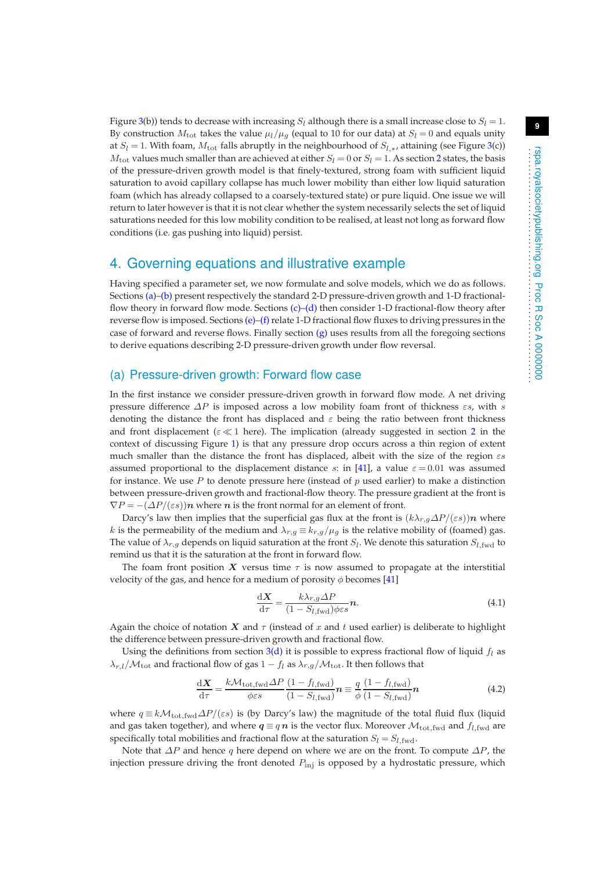**9**

Figure [3\(](#page-9-0)b)) tends to decrease with increasing  $S_l$  although there is a small increase close to  $S_l = 1$ . By construction  $M_{\text{tot}}$  takes the value  $\mu_l/\mu_g$  (equal to 10 for our data) at  $S_l = 0$  and equals unity at  $S_l = 1$ . With foam,  $M_{\text{tot}}$  falls abruptly in the neighbourhood of  $S_{l,*}$ , attaining (see Figure [3\(](#page-9-0)c))  $M_{\text{tot}}$  values much smaller than are achieved at either  $S_l = 0$  or  $S_l = 1$ . As section [2](#page-2-0) states, the basis of the pressure-driven growth model is that finely-textured, strong foam with sufficient liquid saturation to avoid capillary collapse has much lower mobility than either low liquid saturation foam (which has already collapsed to a coarsely-textured state) or pure liquid. One issue we will return to later however is that it is not clear whether the system necessarily selects the set of liquid saturations needed for this low mobility condition to be realised, at least not long as forward flow conditions (i.e. gas pushing into liquid) persist.

## <span id="page-8-0"></span>4. Governing equations and illustrative example

Having specified a parameter set, we now formulate and solve models, which we do as follows. Sections [\(a\)](#page-8-1)[–\(b\)](#page-10-0) present respectively the standard 2-D pressure-driven growth and 1-D fractionalflow theory in forward flow mode. Sections [\(c\)](#page-11-0)[–\(d\)](#page-14-0) then consider 1-D fractional-flow theory after reverse flow is imposed. Sections [\(e\)](#page-16-0)[–\(f\)](#page-20-0) relate 1-D fractional flow fluxes to driving pressures in the case of forward and reverse flows. Finally section  $(g)$  uses results from all the foregoing sections to derive equations describing 2-D pressure-driven growth under flow reversal.

#### <span id="page-8-1"></span>(a) Pressure-driven growth: Forward flow case

In the first instance we consider pressure-driven growth in forward flow mode. A net driving pressure difference  $\Delta P$  is imposed across a low mobility foam front of thickness  $\epsilon s$ , with s denoting the distance the front has displaced and  $\varepsilon$  being the ratio between front thickness and front displacement ( $\varepsilon \ll 1$  here). The implication (already suggested in section [2](#page-2-0) in the context of discussing Figure [1\)](#page-3-0) is that any pressure drop occurs across a thin region of extent much smaller than the distance the front has displaced, albeit with the size of the region  $\epsilon s$ assumed proportional to the displacement distance s: in [\[41\]](#page-25-11), a value  $\varepsilon = 0.01$  was assumed for instance. We use  $P$  to denote pressure here (instead of  $p$  used earlier) to make a distinction between pressure-driven growth and fractional-flow theory. The pressure gradient at the front is  $\nabla P = -(\Delta P/(\varepsilon s))\mathbf{n}$  where  $\mathbf{n}$  is the front normal for an element of front.

Darcy's law then implies that the superficial gas flux at the front is  $(k\lambda_{r,q}\Delta P/(\varepsilon s))n$  where k is the permeability of the medium and  $\lambda_{r,g} \equiv k_{r,g}/\mu_g$  is the relative mobility of (foamed) gas. The value of  $\lambda_{r,g}$  depends on liquid saturation at the front  $S_l$ . We denote this saturation  $S_{l,\text{fwd}}$  to remind us that it is the saturation at the front in forward flow.

The foam front position X versus time  $\tau$  is now assumed to propagate at the interstitial velocity of the gas, and hence for a medium of porosity  $\phi$  becomes [\[41\]](#page-25-11)

$$
\frac{\mathrm{d}\mathbf{X}}{\mathrm{d}\tau} = \frac{k\lambda_{r,g}\Delta P}{(1 - S_{l,\text{fwd}})\phi\varepsilon s}\mathbf{n}.\tag{4.1}
$$

Again the choice of notation X and  $\tau$  (instead of x and t used earlier) is deliberate to highlight the difference between pressure-driven growth and fractional flow.

Using the definitions from section [3](#page-6-0)[\(d\)](#page-7-0) it is possible to express fractional flow of liquid  $f_l$  as  $\lambda_{r,l}/\mathcal{M}_{\text{tot}}$  and fractional flow of gas  $1 - f_l$  as  $\lambda_{r,q}/\mathcal{M}_{\text{tot}}$ . It then follows that

<span id="page-8-2"></span>
$$
\frac{\mathrm{d}\mathbf{X}}{\mathrm{d}\tau} = \frac{k\mathcal{M}_{\text{tot,fwd}}\Delta P}{\phi\varepsilon s} \frac{(1 - f_{l,\text{fwd}})}{(1 - S_{l,\text{fwd}})} \mathbf{n} \equiv \frac{q}{\phi} \frac{(1 - f_{l,\text{fwd}})}{(1 - S_{l,\text{fwd}})} \mathbf{n}
$$
(4.2)

where  $q \equiv k \mathcal{M}_{\text{tot,fwd}} \Delta P / (\varepsilon s)$  is (by Darcy's law) the magnitude of the total fluid flux (liquid and gas taken together), and where  $q \equiv q n$  is the vector flux. Moreover  $\mathcal{M}_{\text{tot,fwd}}$  and  $f_{l,\text{fwd}}$  are specifically total mobilities and fractional flow at the saturation  $S_l = S_{l, \text{fwd}}$ .

Note that  $\Delta P$  and hence q here depend on where we are on the front. To compute  $\Delta P$ , the injection pressure driving the front denoted  $P_{\text{ini}}$  is opposed by a hydrostatic pressure, which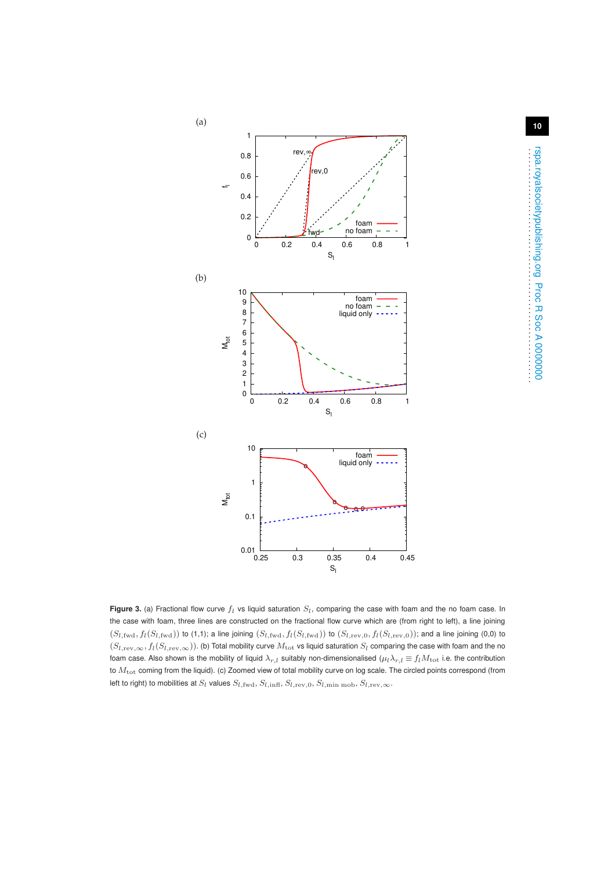

<span id="page-9-0"></span>**Figure 3.** (a) Fractional flow curve  $f_l$  vs liquid saturation  $S_l$ , comparing the case with foam and the no foam case. In the case with foam, three lines are constructed on the fractional flow curve which are (from right to left), a line joining  $(S_{l, \text{fwd}}, f_l(S_{l, \text{fwd}}))$  to (1,1); a line joining  $(S_{l, \text{fwd}}, f_l(S_{l, \text{fwd}}))$  to  $(S_{l, \text{rev},0}, f_l(S_{l, \text{rev},0}))$ ; and a line joining (0,0) to  $(S_{l,\text{rev},\infty},f_l(S_{l,\text{rev},\infty}))$ . (b) Total mobility curve  $M_{\text{tot}}$  vs liquid saturation  $S_l$  comparing the case with foam and the no foam case. Also shown is the mobility of liquid  $\lambda_{r,l}$  suitably non-dimensionalised ( $\mu_l\lambda_{r,l} \equiv f_lM_{\text{tot}}$  i.e. the contribution to  $M_{\rm tot}$  coming from the liquid). (c) Zoomed view of total mobility curve on log scale. The circled points correspond (from left to right) to mobilities at  $S_l$  values  $S_{l, \text{fwd}}, S_{l, \text{infl}}, S_{l, \text{rev}, 0}, S_{l, \text{min mod}}, S_{l, \text{rev}, \infty}$ .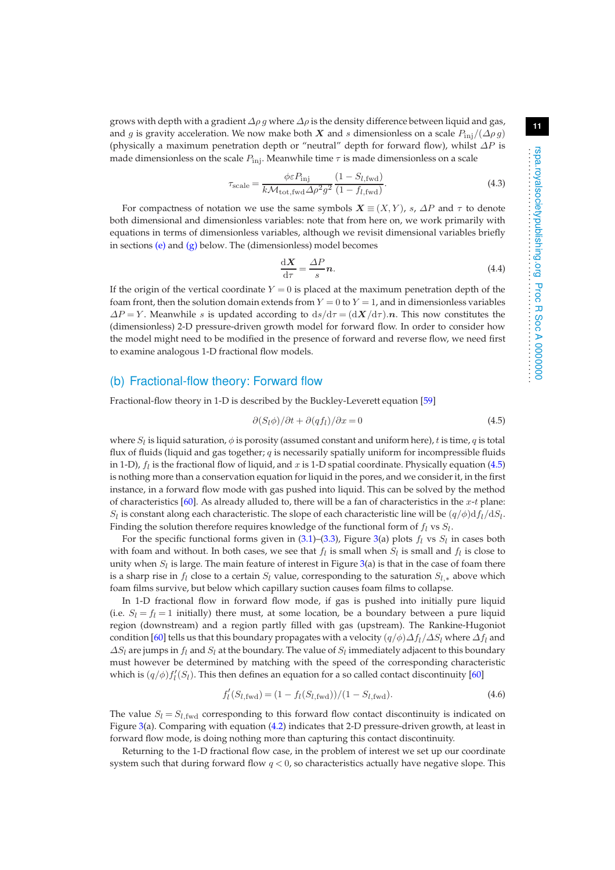grows with depth with a gradient  $\Delta \rho q$  where  $\Delta \rho$  is the density difference between liquid and gas, and g is gravity acceleration. We now make both X and s dimensionless on a scale  $P_{\text{ini}}/(\Delta \rho g)$ (physically a maximum penetration depth or "neutral" depth for forward flow), whilst  $\Delta P$  is made dimensionless on the scale  $P_{\text{ini}}$ . Meanwhile time  $\tau$  is made dimensionless on a scale

$$
\tau_{\text{scale}} = \frac{\phi \varepsilon P_{\text{inj}}}{k \mathcal{M}_{\text{tot,fwd}} \Delta \rho^2 g^2} \frac{(1 - S_{l,\text{fwd}})}{(1 - f_{l,\text{fwd}})}.
$$
\n(4.3)

For compactness of notation we use the same symbols  $X \equiv (X, Y)$ , s,  $\Delta P$  and  $\tau$  to denote both dimensional and dimensionless variables: note that from here on, we work primarily with equations in terms of dimensionless variables, although we revisit dimensional variables briefly in sections  $(e)$  and  $(g)$  below. The (dimensionless) model becomes

<span id="page-10-2"></span>
$$
\frac{\mathrm{d}X}{\mathrm{d}\tau} = \frac{\Delta P}{s}n.\tag{4.4}
$$

If the origin of the vertical coordinate  $Y = 0$  is placed at the maximum penetration depth of the foam front, then the solution domain extends from  $Y = 0$  to  $Y = 1$ , and in dimensionless variables  $\Delta P = Y$ . Meanwhile s is updated according to  $ds/d\tau = (d\mathbf{X}/d\tau) \cdot \mathbf{n}$ . This now constitutes the (dimensionless) 2-D pressure-driven growth model for forward flow. In order to consider how the model might need to be modified in the presence of forward and reverse flow, we need first to examine analogous 1-D fractional flow models.

#### <span id="page-10-0"></span>(b) Fractional-flow theory: Forward flow

Fractional-flow theory in 1-D is described by the Buckley-Leverett equation [\[59\]](#page-26-14)

<span id="page-10-1"></span>
$$
\partial (S_l \phi) / \partial t + \partial (q f_l) / \partial x = 0 \tag{4.5}
$$

where  $S_l$  is liquid saturation,  $\phi$  is porosity (assumed constant and uniform here),  $t$  is time,  $q$  is total flux of fluids (liquid and gas together;  $q$  is necessarily spatially uniform for incompressible fluids in 1-D),  $f_l$  is the fractional flow of liquid, and  $x$  is 1-D spatial coordinate. Physically equation [\(4.5\)](#page-10-1) is nothing more than a conservation equation for liquid in the pores, and we consider it, in the first instance, in a forward flow mode with gas pushed into liquid. This can be solved by the method of characteristics [\[60\]](#page-26-15). As already alluded to, there will be a fan of characteristics in the  $x$ -t plane:  $S_l$  is constant along each characteristic. The slope of each characteristic line will be  $(q/\phi)df_l/dS_l$ . Finding the solution therefore requires knowledge of the functional form of  $f_l$  vs  $S_l$ .

For the specific functional forms given in [\(3.1\)](#page-6-5)–[\(3.3\)](#page-7-2), Figure [3\(](#page-9-0)a) plots  $f_l$  vs  $S_l$  in cases both with foam and without. In both cases, we see that  $f_l$  is small when  $S_l$  is small and  $f_l$  is close to unity when  $S_l$  is large. The main feature of interest in Figure [3\(](#page-9-0)a) is that in the case of foam there is a sharp rise in  $f_l$  close to a certain  $S_l$  value, corresponding to the saturation  $S_{l,*}$  above which foam films survive, but below which capillary suction causes foam films to collapse.

In 1-D fractional flow in forward flow mode, if gas is pushed into initially pure liquid (i.e.  $S_l = f_l = 1$  initially) there must, at some location, be a boundary between a pure liquid region (downstream) and a region partly filled with gas (upstream). The Rankine-Hugoniot condition [\[60\]](#page-26-15) tells us that this boundary propagates with a velocity  $(q/\phi) \Delta f_l/\Delta S_l$  where  $\Delta f_l$  and  $\Delta S_l$  are jumps in  $f_l$  and  $S_l$  at the boundary. The value of  $S_l$  immediately adjacent to this boundary must however be determined by matching with the speed of the corresponding characteristic which is  $(q/\phi) f'_{l}(S_{l})$ . This then defines an equation for a so called contact discontinuity [\[60\]](#page-26-15)

$$
f_l'(S_{l,\text{fwd}}) = (1 - f_l(S_{l,\text{fwd}})) / (1 - S_{l,\text{fwd}}). \tag{4.6}
$$

The value  $S_l = S_{l, \text{fwd}}$  corresponding to this forward flow contact discontinuity is indicated on Figure [3\(](#page-9-0)a). Comparing with equation [\(4.2\)](#page-8-2) indicates that 2-D pressure-driven growth, at least in forward flow mode, is doing nothing more than capturing this contact discontinuity.

Returning to the 1-D fractional flow case, in the problem of interest we set up our coordinate system such that during forward flow  $q < 0$ , so characteristics actually have negative slope. This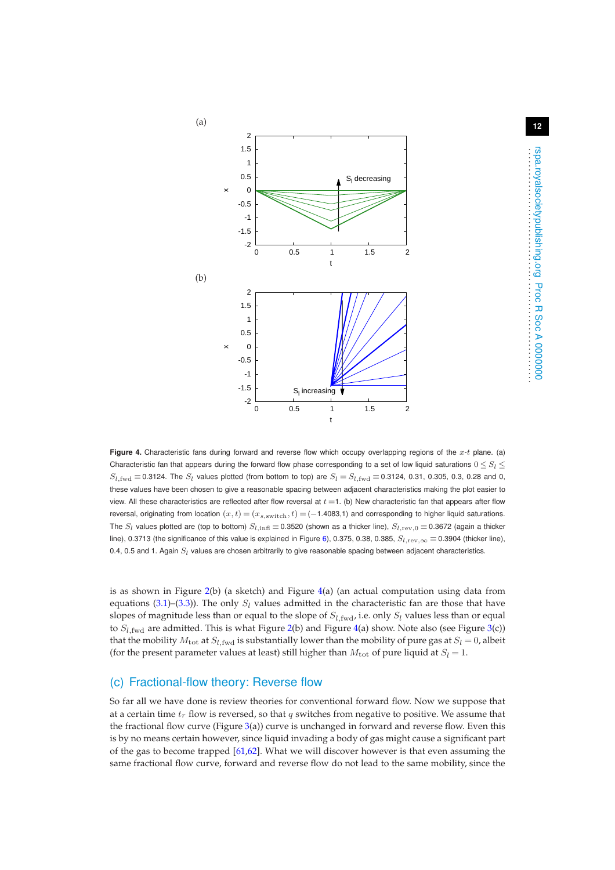

<span id="page-11-1"></span>**Figure 4.** Characteristic fans during forward and reverse flow which occupy overlapping regions of the  $x$ -t plane. (a) Characteristic fan that appears during the forward flow phase corresponding to a set of low liquid saturations  $0 \leq S<sub>I</sub>$  $S_{l, \text{fwd}} \equiv 0.3124$ . The  $S_l$  values plotted (from bottom to top) are  $S_l = S_{l, \text{fwd}} \equiv 0.3124$ , 0.31, 0.305, 0.3, 0.28 and 0, these values have been chosen to give a reasonable spacing between adjacent characteristics making the plot easier to view. All these characteristics are reflected after flow reversal at  $t = 1$ . (b) New characteristic fan that appears after flow reversal, originating from location  $(x, t) = (x_{s, \text{switch}}, t) = (-1.4083, 1)$  and corresponding to higher liquid saturations. The  $S_l$  values plotted are (top to bottom)  $S_{l, \text{infl}} \equiv 0.3520$  (shown as a thicker line),  $S_{l, \text{rev},0} \equiv 0.3672$  (again a thicker line), 0.3713 (the significance of this value is explained in Figure [6\)](#page-15-0), 0.375, 0.38, 0.385,  $S_{l,rev,\infty} \equiv 0.3904$  (thicker line), 0.4, 0.5 and 1. Again  $S_l$  values are chosen arbitrarily to give reasonable spacing between adjacent characteristics.

is as shown in Figure  $2(b)$  $2(b)$  (a sketch) and Figure  $4(a)$  $4(a)$  (an actual computation using data from equations [\(3.1\)](#page-6-5)–[\(3.3\)](#page-7-2)). The only  $S_l$  values admitted in the characteristic fan are those that have slopes of magnitude less than or equal to the slope of  $S_{l, \text{fwd}}$ , i.e. only  $S_l$  values less than or equal to  $S_{l, \text{fwd}}$  are admitted. This is what Figure [2\(](#page-4-0)b) and Figure [4\(](#page-11-1)a) show. Note also (see Figure [3\(](#page-9-0)c)) that the mobility  $M_{\text{tot}}$  at  $S_{l,\text{fwd}}$  is substantially lower than the mobility of pure gas at  $S_l = 0$ , albeit (for the present parameter values at least) still higher than  $M_{\text{tot}}$  of pure liquid at  $S_l = 1$ .

#### <span id="page-11-0"></span>(c) Fractional-flow theory: Reverse flow

So far all we have done is review theories for conventional forward flow. Now we suppose that at a certain time  $t_r$  flow is reversed, so that  $q$  switches from negative to positive. We assume that the fractional flow curve (Figure [3\(](#page-9-0)a)) curve is unchanged in forward and reverse flow. Even this is by no means certain however, since liquid invading a body of gas might cause a significant part of the gas to become trapped [\[61,](#page-26-16)[62\]](#page-26-17). What we will discover however is that even assuming the same fractional flow curve, forward and reverse flow do not lead to the same mobility, since the

**12**

. . . . . . . . . . . . . . . . . . . . . . . . . . . . . . . . . . . . . . . . . . . . . . . . . . . rspa.royalsocietypublishing.org Proc R Soc A 0000000

rspa.royalsocietypublishing.org Proc R Soc A 0000000<br>.r.p. ...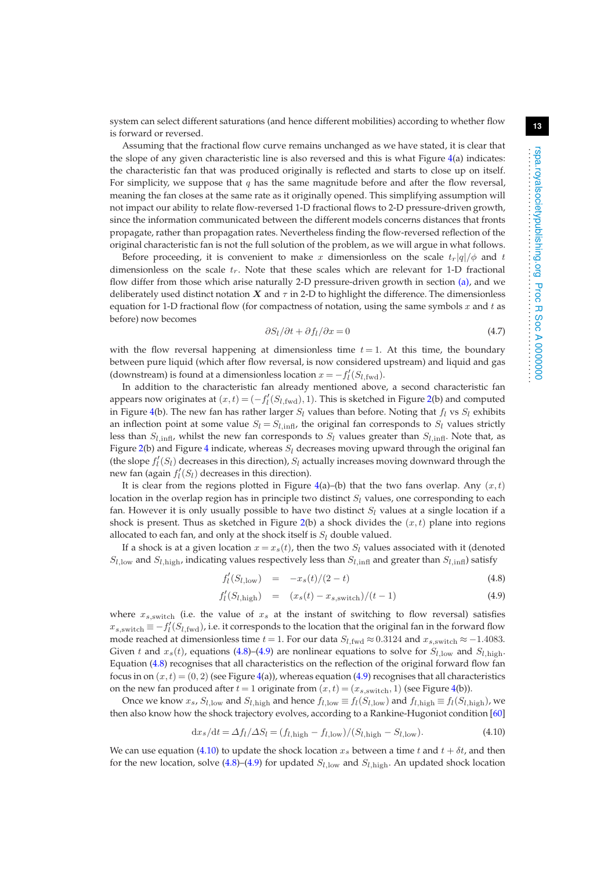system can select different saturations (and hence different mobilities) according to whether flow is forward or reversed.

Assuming that the fractional flow curve remains unchanged as we have stated, it is clear that the slope of any given characteristic line is also reversed and this is what Figure [4\(](#page-11-1)a) indicates: the characteristic fan that was produced originally is reflected and starts to close up on itself. For simplicity, we suppose that  $q$  has the same magnitude before and after the flow reversal, meaning the fan closes at the same rate as it originally opened. This simplifying assumption will not impact our ability to relate flow-reversed 1-D fractional flows to 2-D pressure-driven growth, since the information communicated between the different models concerns distances that fronts propagate, rather than propagation rates. Nevertheless finding the flow-reversed reflection of the original characteristic fan is not the full solution of the problem, as we will argue in what follows.

Before proceeding, it is convenient to make x dimensionless on the scale  $t_r|q|/\phi$  and t dimensionless on the scale  $t_r$ . Note that these scales which are relevant for 1-D fractional flow differ from those which arise naturally 2-D pressure-driven growth in section [\(a\),](#page-8-1) and we deliberately used distinct notation  $X$  and  $\tau$  in 2-D to highlight the difference. The dimensionless equation for 1-D fractional flow (for compactness of notation, using the same symbols  $x$  and  $t$  as before) now becomes

$$
\frac{\partial S_l}{\partial t} + \frac{\partial f_l}{\partial x} = 0 \tag{4.7}
$$

with the flow reversal happening at dimensionless time  $t = 1$ . At this time, the boundary between pure liquid (which after flow reversal, is now considered upstream) and liquid and gas (downstream) is found at a dimensionless location  $x = -f_l'(S_{l, \text{fwd}})$ .

In addition to the characteristic fan already mentioned above, a second characteristic fan appears now originates at  $(x, t) = (-f'_{l}(S_{l, \text{fwd}}), 1)$ . This is sketched in Figure [2\(](#page-4-0)b) and computed in Figure [4\(](#page-11-1)b). The new fan has rather larger  $S_l$  values than before. Noting that  $f_l$  vs  $S_l$  exhibits an inflection point at some value  $S_l = S_{l, \text{infl}}$ , the original fan corresponds to  $S_l$  values strictly less than  $S_{l, \text{infl}}$ , whilst the new fan corresponds to  $S_l$  values greater than  $S_{l, \text{infl}}$ . Note that, as Figure [2\(](#page-4-0)b) and Figure [4](#page-11-1) indicate, whereas  $S_l$  decreases moving upward through the original fan (the slope  $f'_{l}(S_{l})$  decreases in this direction),  $S_{l}$  actually increases moving downward through the new fan (again  $f'_{l}(S_{l})$  decreases in this direction).

It is clear from the regions plotted in Figure [4\(](#page-11-1)a)–(b) that the two fans overlap. Any  $(x, t)$ location in the overlap region has in principle two distinct  $S_l$  values, one corresponding to each fan. However it is only usually possible to have two distinct  $S_l$  values at a single location if a shock is present. Thus as sketched in Figure [2\(](#page-4-0)b) a shock divides the  $(x, t)$  plane into regions allocated to each fan, and only at the shock itself is  $S_l$  double valued.

If a shock is at a given location  $x = x_s(t)$ , then the two  $S_l$  values associated with it (denoted  $S_{l,low}$  and  $S_{l,high}$ , indicating values respectively less than  $S_{l,ind}$  and greater than  $S_{l,infl}$ ) satisfy

<span id="page-12-0"></span>
$$
f'_l(S_{l,\text{low}}) = -x_s(t)/(2-t) \tag{4.8}
$$

$$
f'_{l}(S_{l,\text{high}}) = (x_s(t) - x_{s,\text{switch}})/(t-1)
$$
\n(4.9)

where  $x_{s, \text{switch}}$  (i.e. the value of  $x_s$  at the instant of switching to flow reversal) satisfies  $x_{s,\text{switch}} \equiv -f_l'(S_{l,\text{fwd}})$ , i.e. it corresponds to the location that the original fan in the forward flow mode reached at dimensionless time  $t = 1$ . For our data  $S_{l, \text{fwd}} \approx 0.3124$  and  $x_{s, \text{switch}} \approx -1.4083$ . Given t and  $x_s(t)$ , equations [\(4.8\)](#page-12-0)–[\(4.9\)](#page-12-0) are nonlinear equations to solve for  $S_{l,low}$  and  $S_{l,high}$ . Equation [\(4.8\)](#page-12-0) recognises that all characteristics on the reflection of the original forward flow fan focus in on  $(x, t) = (0, 2)$  (see Figure [4\(](#page-11-1)a)), whereas equation [\(4.9\)](#page-12-0) recognises that all characteristics on the new fan produced after  $t = 1$  originate from  $(x, t) = (x_{s, \text{switch}}, 1)$  (see Figure [4\(](#page-11-1)b)).

Once we know  $x_s$ ,  $S_{l,low}$  and  $S_{l,high}$  and hence  $f_{l,low} \equiv f_l(S_{l,low})$  and  $f_{l,high} \equiv f_l(S_{l,high})$ , we then also know how the shock trajectory evolves, according to a Rankine-Hugoniot condition [\[60\]](#page-26-15)

<span id="page-12-1"></span>
$$
\mathrm{d}x_s/\mathrm{d}t = \Delta f_l/\Delta S_l = (f_{l,\text{high}} - f_{l,\text{low}})/(S_{l,\text{high}} - S_{l,\text{low}}). \tag{4.10}
$$

We can use equation [\(4.10\)](#page-12-1) to update the shock location  $x_s$  between a time t and  $t + \delta t$ , and then for the new location, solve  $(4.8)$ – $(4.9)$  for updated  $S_{l,low}$  and  $S_{l,high}$ . An updated shock location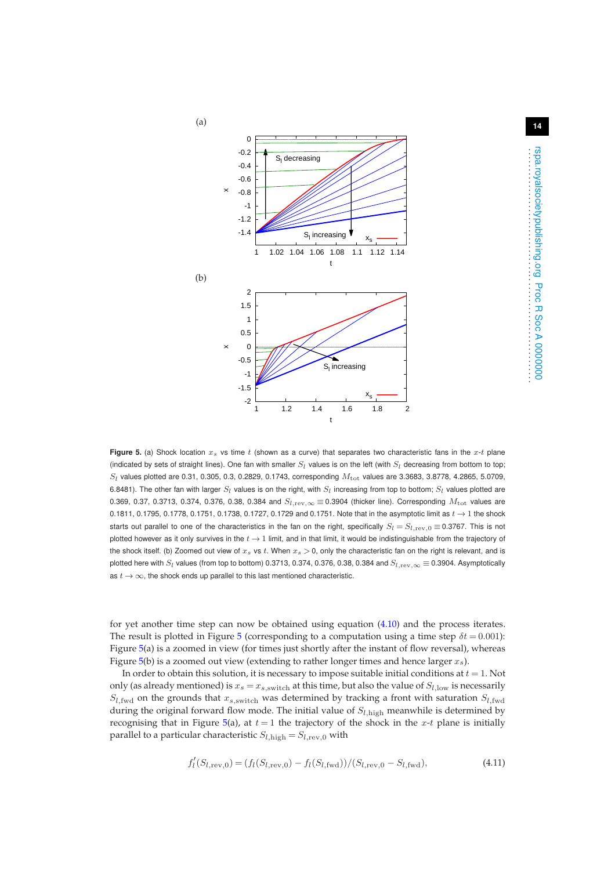

<span id="page-13-0"></span>**Figure 5.** (a) Shock location  $x_s$  vs time t (shown as a curve) that separates two characteristic fans in the  $x$ -t plane (indicated by sets of straight lines). One fan with smaller  $S_l$  values is on the left (with  $S_l$  decreasing from bottom to top;  $S_l$  values plotted are 0.31, 0.305, 0.3, 0.2829, 0.1743, corresponding  $M_{\rm tot}$  values are 3.3683, 3.8778, 4.2865, 5.0709, 6.8481). The other fan with larger  $S_l$  values is on the right, with  $S_l$  increasing from top to bottom;  $S_l$  values plotted are 0.369, 0.37, 0.3713, 0.374, 0.376, 0.38, 0.384 and  $S_{l,rev,\infty} \equiv 0.3904$  (thicker line). Corresponding  $M_{\text{tot}}$  values are 0.1811, 0.1795, 0.1778, 0.1751, 0.1738, 0.1727, 0.1729 and 0.1751. Note that in the asymptotic limit as  $t \to 1$  the shock starts out parallel to one of the characteristics in the fan on the right, specifically  $S_l = S_{l,\text{rev},0} \equiv 0.3767$ . This is not plotted however as it only survives in the  $t \to 1$  limit, and in that limit, it would be indistinguishable from the trajectory of the shock itself. (b) Zoomed out view of  $x_s$  vs t. When  $x_s > 0$ , only the characteristic fan on the right is relevant, and is plotted here with  $S_l$  values (from top to bottom) 0.3713, 0.374, 0.376, 0.38, 0.384 and  $S_{l,\text{rev},\infty} \equiv 0.3904$ . Asymptotically as  $t \to \infty$ , the shock ends up parallel to this last mentioned characteristic.

for yet another time step can now be obtained using equation [\(4.10\)](#page-12-1) and the process iterates. The result is plotted in Figure [5](#page-13-0) (corresponding to a computation using a time step  $\delta t = 0.001$ ): Figure [5\(](#page-13-0)a) is a zoomed in view (for times just shortly after the instant of flow reversal), whereas Figure [5\(](#page-13-0)b) is a zoomed out view (extending to rather longer times and hence larger  $x_s$ ).

In order to obtain this solution, it is necessary to impose suitable initial conditions at  $t = 1$ . Not only (as already mentioned) is  $x_s = x_{s, \text{switch}}$  at this time, but also the value of  $S_{l, \text{low}}$  is necessarily  $S_{l, \text{fwd}}$  on the grounds that  $x_{s, \text{switch}}$  was determined by tracking a front with saturation  $S_{l, \text{fwd}}$ during the original forward flow mode. The initial value of  $S_{l,\rm high}$  meanwhile is determined by recognising that in Figure [5\(](#page-13-0)a), at  $t = 1$  the trajectory of the shock in the x-t plane is initially parallel to a particular characteristic  $S_{l,\text{high}} = S_{l,\text{rev},0}$  with

<span id="page-13-1"></span>
$$
f'_l(S_{l,\text{rev},0}) = (f_l(S_{l,\text{rev},0}) - f_l(S_{l,\text{fwd}})) / (S_{l,\text{rev},0} - S_{l,\text{fwd}}),
$$
\n(4.11)

**14**

. . . . . . . . . . . . . . . . . . . . . . . . . . . . . . . . . . . . . . . . . . . . . . . . . . . rspa.royalsocietypublishing.org Proc R Soc A 0000000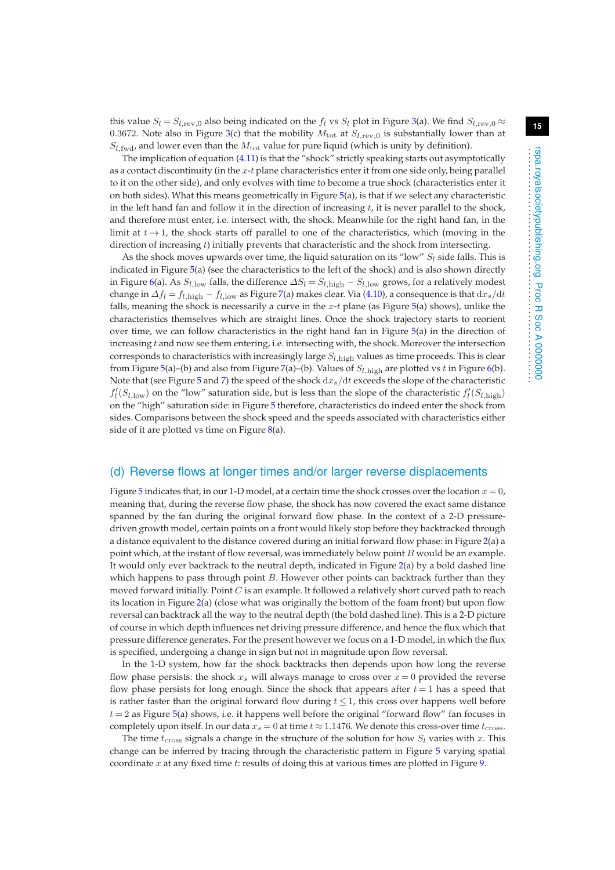this value  $S_l = S_{l,\text{rev},0}$  also being indicated on the  $f_l$  vs  $S_l$  plot in Figure [3\(](#page-9-0)a). We find  $S_{l,\text{rev},0} \approx$ 0.3672. Note also in Figure [3\(](#page-9-0)c) that the mobility  $M_{\text{tot}}$  at  $S_{l,\text{rev},0}$  is substantially lower than at  $S_{l, \text{fwd}}$ , and lower even than the  $M_{\text{tot}}$  value for pure liquid (which is unity by definition).

The implication of equation [\(4.11\)](#page-13-1) is that the "shock" strictly speaking starts out asymptotically as a contact discontinuity (in the  $x-t$  plane characteristics enter it from one side only, being parallel to it on the other side), and only evolves with time to become a true shock (characteristics enter it on both sides). What this means geometrically in Figure [5\(](#page-13-0)a), is that if we select any characteristic in the left hand fan and follow it in the direction of increasing  $t$ , it is never parallel to the shock, and therefore must enter, i.e. intersect with, the shock. Meanwhile for the right hand fan, in the limit at  $t \rightarrow 1$ , the shock starts off parallel to one of the characteristics, which (moving in the direction of increasing  $t$ ) initially prevents that characteristic and the shock from intersecting.

As the shock moves upwards over time, the liquid saturation on its "low"  $S_l$  side falls. This is indicated in Figure [5\(](#page-13-0)a) (see the characteristics to the left of the shock) and is also shown directly in Figure [6\(](#page-15-0)a). As  $S_{l,low}$  falls, the difference  $\Delta S_l = S_{l,high} - S_{l,low}$  grows, for a relatively modest change in  $\Delta f_l = f_{l,\text{high}} - f_{l,\text{low}}$  as Figure [7\(](#page-16-1)a) makes clear. Via [\(4.10\)](#page-12-1), a consequence is that  $\frac{dx_s}{dt}$ falls, meaning the shock is necessarily a curve in the  $x-t$  plane (as Figure [5\(](#page-13-0)a) shows), unlike the characteristics themselves which are straight lines. Once the shock trajectory starts to reorient over time, we can follow characteristics in the right hand fan in Figure [5\(](#page-13-0)a) in the direction of increasing  $t$  and now see them entering, i.e. intersecting with, the shock. Moreover the intersection corresponds to characteristics with increasingly large  $S_{l,\text{high}}$  values as time proceeds. This is clear from Figure [5\(](#page-13-0)a)–(b) and also from Figure [7\(](#page-16-1)a)–(b). Values of  $S_{l,high}$  are plotted vs t in Figure [6\(](#page-15-0)b). Note that (see Figure [5](#page-13-0) and [7\)](#page-16-1) the speed of the shock  $dx_s/dt$  exceeds the slope of the characteristic  $f'_l(S_{l,low})$  on the "low" saturation side, but is less than the slope of the characteristic  $f'_l(S_{l,\text{high}})$ on the "high" saturation side: in Figure [5](#page-13-0) therefore, characteristics do indeed enter the shock from sides. Comparisons between the shock speed and the speeds associated with characteristics either side of it are plotted vs time on Figure  $8(a)$  $8(a)$ .

#### <span id="page-14-0"></span>(d) Reverse flows at longer times and/or larger reverse displacements

Figure [5](#page-13-0) indicates that, in our 1-D model, at a certain time the shock crosses over the location  $x = 0$ , meaning that, during the reverse flow phase, the shock has now covered the exact same distance spanned by the fan during the original forward flow phase. In the context of a 2-D pressuredriven growth model, certain points on a front would likely stop before they backtracked through a distance equivalent to the distance covered during an initial forward flow phase: in Figure [2\(](#page-4-0)a) a point which, at the instant of flow reversal, was immediately below point  $B$  would be an example. It would only ever backtrack to the neutral depth, indicated in Figure [2\(](#page-4-0)a) by a bold dashed line which happens to pass through point  $B$ . However other points can backtrack further than they moved forward initially. Point  $C$  is an example. It followed a relatively short curved path to reach its location in Figure [2\(](#page-4-0)a) (close what was originally the bottom of the foam front) but upon flow reversal can backtrack all the way to the neutral depth (the bold dashed line). This is a 2-D picture of course in which depth influences net driving pressure difference, and hence the flux which that pressure difference generates. For the present however we focus on a 1-D model, in which the flux is specified, undergoing a change in sign but not in magnitude upon flow reversal.

In the 1-D system, how far the shock backtracks then depends upon how long the reverse flow phase persists: the shock  $x_s$  will always manage to cross over  $x = 0$  provided the reverse flow phase persists for long enough. Since the shock that appears after  $t = 1$  has a speed that is rather faster than the original forward flow during  $t \leq 1$ , this cross over happens well before  $t = 2$  as Figure [5\(](#page-13-0)a) shows, i.e. it happens well before the original "forward flow" fan focuses in completely upon itself. In our data  $x_s = 0$  at time  $t \approx 1.1476$ . We denote this cross-over time  $t_{\text{cross}}$ .

The time  $t_{\text{cross}}$  signals a change in the structure of the solution for how  $S_l$  varies with x. This change can be inferred by tracing through the characteristic pattern in Figure [5](#page-13-0) varying spatial coordinate x at any fixed time t: results of doing this at various times are plotted in Figure [9.](#page-17-1)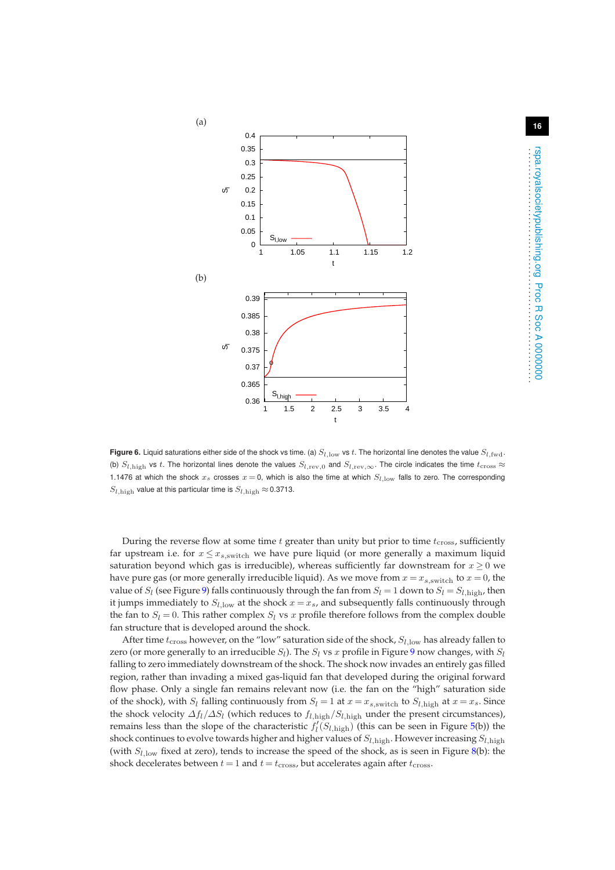

<span id="page-15-0"></span>**Figure 6.** Liquid saturations either side of the shock vs time. (a)  $S_{l,low}$  vs t. The horizontal line denotes the value  $S_{l,low}$ . (b)  $S_{l,\text{high}}$  vs t. The horizontal lines denote the values  $S_{l,\text{rev},0}$  and  $S_{l,\text{rev},\infty}$ . The circle indicates the time  $t_{\text{cross}} \approx$ 1.1476 at which the shock  $x_s$  crosses  $x = 0$ , which is also the time at which  $S_{l,low}$  falls to zero. The corresponding  $S_{l,\text{high}}$  value at this particular time is  $S_{l,\text{high}} \approx 0.3713$ .

During the reverse flow at some time  $t$  greater than unity but prior to time  $t_{\text{cross}}$ , sufficiently far upstream i.e. for  $x \leq x_{s,switch}$  we have pure liquid (or more generally a maximum liquid saturation beyond which gas is irreducible), whereas sufficiently far downstream for  $x \geq 0$  we have pure gas (or more generally irreducible liquid). As we move from  $x = x_{s, \text{switch}}$  to  $x = 0$ , the value of  $S_l$  (see Figure [9\)](#page-17-1) falls continuously through the fan from  $S_l = 1$  down to  $S_l = S_{l,\rm high}$ , then it jumps immediately to  $S_{l,low}$  at the shock  $x = x_s$ , and subsequently falls continuously through the fan to  $S_l = 0$ . This rather complex  $S_l$  vs x profile therefore follows from the complex double fan structure that is developed around the shock.

After time  $t_{\rm cross}$  however, on the "low" saturation side of the shock,  $S_{l,low}$  has already fallen to zero (or more generally to an irreducible  $S_l$ ). The  $S_l$  vs  $x$  profile in Figure [9](#page-17-1) now changes, with  $S_l$ falling to zero immediately downstream of the shock. The shock now invades an entirely gas filled region, rather than invading a mixed gas-liquid fan that developed during the original forward flow phase. Only a single fan remains relevant now (i.e. the fan on the "high" saturation side of the shock), with  $S_l$  falling continuously from  $S_l = 1$  at  $x = x_{s, \text{switch}}$  to  $S_{l, \text{high}}$  at  $x = x_s$ . Since the shock velocity  $\Delta f_l/\Delta S_l$  (which reduces to  $f_{l,\textrm{high}}/S_{l,\textrm{high}}$  under the present circumstances), remains less than the slope of the characteristic  $f_l'(S_{l,\text{high}})$  (this can be seen in Figure [5\(](#page-13-0)b)) the shock continues to evolve towards higher and higher values of  $S_{l,\text{high}}$ . However increasing  $S_{l,\text{high}}$ (with  $S_{l,low}$  fixed at zero), tends to increase the speed of the shock, as is seen in Figure [8\(](#page-17-0)b): the shock decelerates between  $t = 1$  and  $t = t_{\text{cross}}$ , but accelerates again after  $t_{\text{cross}}$ .

. . . . . . . . . . . . . . . . . . . . . . . . . . . . . . . . . . . . . . . . . . . . . . . . . . . rspa.royalsocietypublishing.org Proc R Soc A 0000000

**Proc R Soc A 0000000**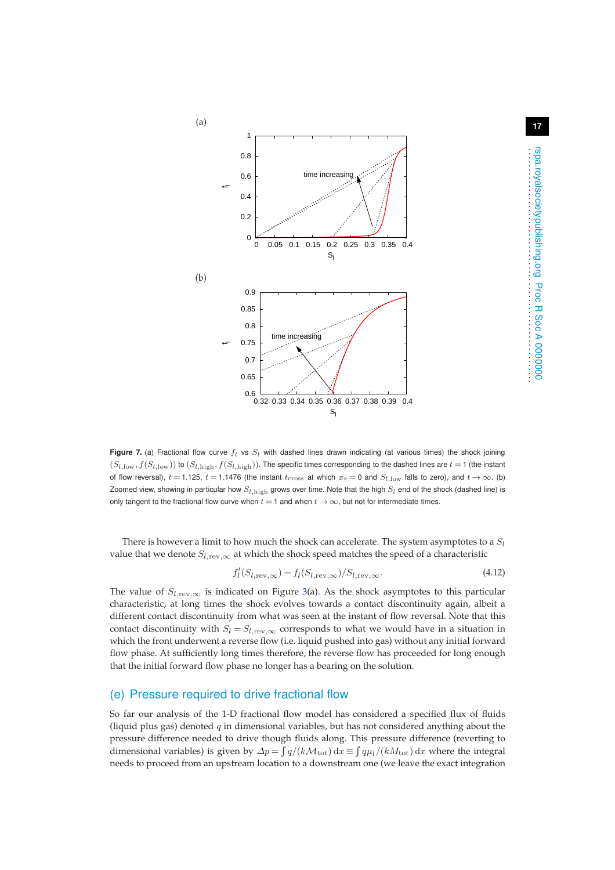

<span id="page-16-1"></span>**Figure 7.** (a) Fractional flow curve  $f_l$  vs  $S_l$  with dashed lines drawn indicating (at various times) the shock joining  $(S_{l,low}, f(S_{l,low}))$  to  $(S_{l,high}, f(S_{l,high}))$ . The specific times corresponding to the dashed lines are  $t = 1$  (the instant of flow reversal),  $t = 1.125$ ,  $t = 1.1476$  (the instant  $t_{\text{cross}}$  at which  $x_s = 0$  and  $S_{l, \text{low}}$  falls to zero), and  $t \to \infty$ . (b) Zoomed view, showing in particular how  $S_{l,\text{high}}$  grows over time. Note that the high  $S_l$  end of the shock (dashed line) is only tangent to the fractional flow curve when  $t = 1$  and when  $t \to \infty$ , but not for intermediate times.

There is however a limit to how much the shock can accelerate. The system asymptotes to a  $S_l$ value that we denote  $S_{l,\text{rev},\infty}$  at which the shock speed matches the speed of a characteristic

$$
f_l'(S_{l,\text{rev},\infty}) = f_l(S_{l,\text{rev},\infty})/S_{l,\text{rev},\infty}.
$$
\n(4.12)

The value of  $S_{l,\text{rev},\infty}$  is indicated on Figure [3\(](#page-9-0)a). As the shock asymptotes to this particular characteristic, at long times the shock evolves towards a contact discontinuity again, albeit a different contact discontinuity from what was seen at the instant of flow reversal. Note that this contact discontinuity with  $S_l = S_{l,\text{rev},\infty}$  corresponds to what we would have in a situation in which the front underwent a reverse flow (i.e. liquid pushed into gas) without any initial forward flow phase. At sufficiently long times therefore, the reverse flow has proceeded for long enough that the initial forward flow phase no longer has a bearing on the solution.

#### <span id="page-16-0"></span>(e) Pressure required to drive fractional flow

So far our analysis of the 1-D fractional flow model has considered a specified flux of fluids (liquid plus gas) denoted  $q$  in dimensional variables, but has not considered anything about the pressure difference needed to drive though fluids along. This pressure difference (reverting to dimensional variables) is given by  $\Delta p = \int q/(kM_{\rm tot}) \, dx \equiv \int q \mu_l/(kM_{\rm tot}) \, dx$  where the integral needs to proceed from an upstream location to a downstream one (we leave the exact integration . . . . . . . . . . . . . . . . . . . . . . . . . . . . . . . . . . . . . . . . . . . . . . . . . . . rspa.royalsocietypublishing.org Proc R Soc A 0000000

rspa.royalsocietypublishing.org Proc R Soc A 0000000<br>rspa.royalsocietypublishing.org Proc R Soc A 0000000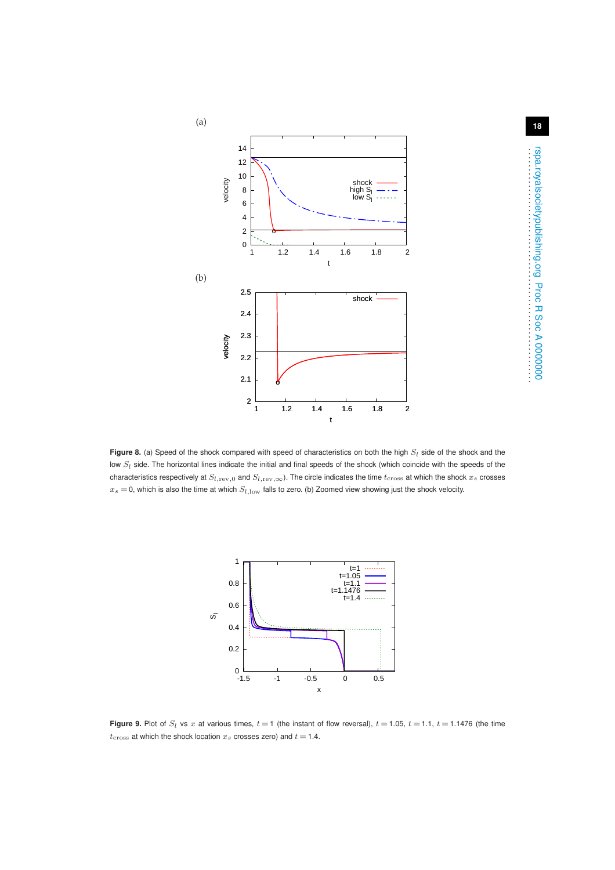

<span id="page-17-0"></span>**Figure 8.** (a) Speed of the shock compared with speed of characteristics on both the high  $S_l$  side of the shock and the low  $S_l$  side. The horizontal lines indicate the initial and final speeds of the shock (which coincide with the speeds of the characteristics respectively at  $S_{l,\text{rev},0}$  and  $S_{l,\text{rev},\infty}$ ). The circle indicates the time  $t_{\text{cross}}$  at which the shock  $x_s$  crosses  $x_s = 0$ , which is also the time at which  $S_{l,\text{low}}$  falls to zero. (b) Zoomed view showing just the shock velocity.



<span id="page-17-1"></span>**Figure 9.** Plot of  $S_l$  vs x at various times,  $t = 1$  (the instant of flow reversal),  $t = 1.05$ ,  $t = 1.1$ ,  $t = 1.1476$  (the time  $t_{\text{cross}}$  at which the shock location  $x_s$  crosses zero) and  $t = 1.4$ .

. . . . . . . . . . . . . . . . . . . . . . . . . . . . . . . . . . . . . . . . . . . . . . . . . . . rspa.royalsocietypublishing.org Proc R Soc A 0000000

rspa.royalsocietypublishing.org Proc R Soc A 0000000<br>rspa.royalsocietypublishing.org Proc R Soc A 0000000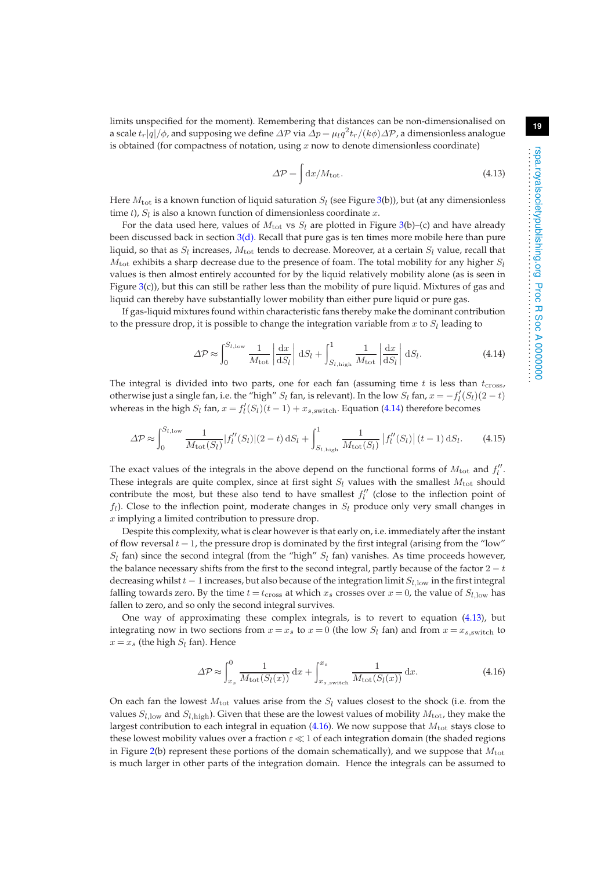limits unspecified for the moment). Remembering that distances can be non-dimensionalised on a scale  $t_r|q|/\phi$ , and supposing we define  $\varDelta\mathcal P$  via  $\varDelta p=\mu_lq^2t_r/(k\phi)\varDelta\mathcal P$ , a dimensionless analogue is obtained (for compactness of notation, using  $x$  now to denote dimensionless coordinate)

<span id="page-18-1"></span>
$$
\Delta \mathcal{P} = \int \mathrm{d}x / M_{\text{tot}}.\tag{4.13}
$$

Here  $M_{\text{tot}}$  is a known function of liquid saturation  $S_l$  (see Figure [3\(](#page-9-0)b)), but (at any dimensionless time *t*),  $S_l$  is also a known function of dimensionless coordinate *x*.

For the data used here, values of  $M_{\text{tot}}$  vs  $S_l$  are plotted in Figure [3\(](#page-9-0)b)–(c) and have already been discussed back in section  $3(d)$  $3(d)$ . Recall that pure gas is ten times more mobile here than pure liquid, so that as  $S_l$  increases,  $M_{\rm tot}$  tends to decrease. Moreover, at a certain  $S_l$  value, recall that  $M_{\text{tot}}$  exhibits a sharp decrease due to the presence of foam. The total mobility for any higher  $S_l$ values is then almost entirely accounted for by the liquid relatively mobility alone (as is seen in Figure  $3(c)$  $3(c)$ ), but this can still be rather less than the mobility of pure liquid. Mixtures of gas and liquid can thereby have substantially lower mobility than either pure liquid or pure gas.

If gas-liquid mixtures found within characteristic fans thereby make the dominant contribution to the pressure drop, it is possible to change the integration variable from  $x$  to  $S_l$  leading to

<span id="page-18-0"></span>
$$
\Delta \mathcal{P} \approx \int_0^{S_{l,\text{low}}} \frac{1}{M_{\text{tot}}} \left| \frac{\mathrm{d}x}{\mathrm{d}S_l} \right| \, \mathrm{d}S_l + \int_{S_{l,\text{high}}}^1 \frac{1}{M_{\text{tot}}} \left| \frac{\mathrm{d}x}{\mathrm{d}S_l} \right| \, \mathrm{d}S_l. \tag{4.14}
$$

The integral is divided into two parts, one for each fan (assuming time  $t$  is less than  $t_{\text{cross}}$ , otherwise just a single fan, i.e. the "high"  $S_l$  fan, is relevant). In the low  $S_l$  fan,  $x = -f'_l(S_l)(2-t)$ whereas in the high  $S_l$  fan,  $x = f'_l(S_l)(t-1) + x_{s, \text{switch}}$ . Equation [\(4.14\)](#page-18-0) therefore becomes

$$
\Delta \mathcal{P} \approx \int_0^{S_{l,\text{low}}} \frac{1}{M_{\text{tot}}(S_l)} |f_l''(S_l)| (2-t) \, \text{d}S_l + \int_{S_{l,\text{high}}}^1 \frac{1}{M_{\text{tot}}(S_l)} |f_l''(S_l)| (t-1) \, \text{d}S_l. \tag{4.15}
$$

The exact values of the integrals in the above depend on the functional forms of  $M_{\text{tot}}$  and  $f''_l$ . These integrals are quite complex, since at first sight  $S_l$  values with the smallest  $M_{\text{tot}}$  should contribute the most, but these also tend to have smallest  $f_l''$  (close to the inflection point of  $f_l$ ). Close to the inflection point, moderate changes in  $S_l$  produce only very small changes in x implying a limited contribution to pressure drop.

Despite this complexity, what is clear however is that early on, i.e. immediately after the instant of flow reversal  $t = 1$ , the pressure drop is dominated by the first integral (arising from the "low"  $S_l$  fan) since the second integral (from the "high"  $S_l$  fan) vanishes. As time proceeds however, the balance necessary shifts from the first to the second integral, partly because of the factor  $2 - t$ decreasing whilst  $t - 1$  increases, but also because of the integration limit  $S_{l, \text{low}}$  in the first integral falling towards zero. By the time  $t = t_{\text{cross}}$  at which  $x_s$  crosses over  $x = 0$ , the value of  $S_{l, \text{low}}$  has fallen to zero, and so only the second integral survives.

One way of approximating these complex integrals, is to revert to equation [\(4.13\)](#page-18-1), but integrating now in two sections from  $x = x_s$  to  $x = 0$  (the low  $S_l$  fan) and from  $x = x_{s,\text{switch}}$  to  $x = x_s$  (the high  $S_l$  fan). Hence

<span id="page-18-2"></span>
$$
\Delta \mathcal{P} \approx \int_{x_s}^{0} \frac{1}{M_{\text{tot}}(S_l(x))} dx + \int_{x_{s,\text{switch}}}^{x_s} \frac{1}{M_{\text{tot}}(S_l(x))} dx.
$$
 (4.16)

On each fan the lowest  $M_{\text{tot}}$  values arise from the  $S_l$  values closest to the shock (i.e. from the values  $S_{l,low}$  and  $S_{l,high}$ ). Given that these are the lowest values of mobility  $M_{\text{tot}}$ , they make the largest contribution to each integral in equation [\(4.16\)](#page-18-2). We now suppose that  $M_{\text{tot}}$  stays close to these lowest mobility values over a fraction  $\varepsilon \ll 1$  of each integration domain (the shaded regions in Figure [2\(](#page-4-0)b) represent these portions of the domain schematically), and we suppose that  $M_{\text{tot}}$ is much larger in other parts of the integration domain. Hence the integrals can be assumed to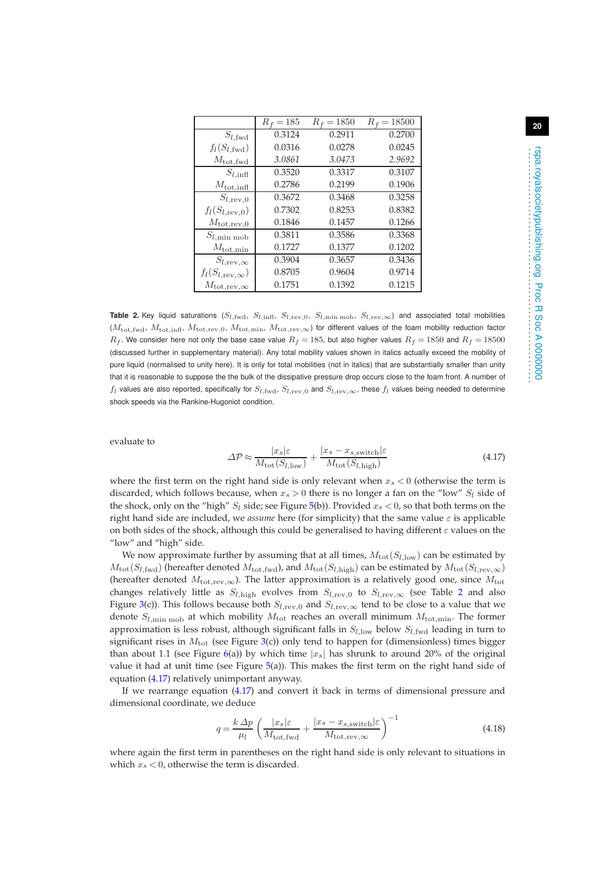|                                | $=185$<br>$R_{\rm s}$ | $=1850$ | 18500  |
|--------------------------------|-----------------------|---------|--------|
| $S_{l,\rm fwd}$                | 0.3124                | 0.2911  | 0.2700 |
| $f_l(S_{l,\text{fwd}})$        | 0.0316                | 0.0278  | 0.0245 |
| $M_{\text{tot,fwd}}$           | 3.0861                | 3.0473  | 2.9692 |
| $S_{l, \text{infl}}$           | 0.3520                | 0.3317  | 0.3107 |
| $M_{\rm tot,infl}$             | 0.2786                | 0.2199  | 0.1906 |
| $S_{l,\text{rev},0}$           | 0.3672                | 0.3468  | 0.3258 |
| $f_l(S_{l,\text{rev},0})$      | 0.7302                | 0.8253  | 0.8382 |
| $M_{\text{tot,rev,0}}$         | 0.1846                | 0.1457  | 0.1266 |
| $S_{l,\min,\bmod}$             | 0.3811                | 0.3586  | 0.3368 |
| $M_{\text{tot,min}}$           | 0.1727                | 0.1377  | 0.1202 |
| $S_{l,\text{rev},\infty}$      | 0.3904                | 0.3657  | 0.3436 |
| $f_l(S_{l,\text{rev},\infty})$ | 0.8705                | 0.9604  | 0.9714 |
| $M_{\text{tot,rev},\infty}$    | 0.1751                | 0.1392  | 0.1215 |

<span id="page-19-0"></span>**Table 2.** Key liquid saturations  $(S_{l, \text{fwd}}, S_{l, \text{inf}}, S_{l, \text{rev},0}, S_{l, \text{min mod}}, S_{l, \text{rev},\infty})$  and associated total mobilities  $(M_{\text{tot,fwd}}, M_{\text{tot,infl}}, M_{\text{tot,rev,0}}, M_{\text{tot,min}}, M_{\text{tot,rev},\infty})$  for different values of the foam mobility reduction factor  $R_f$ . We consider here not only the base case value  $R_f = 185$ , but also higher values  $R_f = 1850$  and  $R_f = 18500$ (discussed further in supplementary material). Any total mobility values shown in italics actually exceed the mobility of pure liquid (normalised to unity here). It is only for total mobilities (not in italics) that are substantially smaller than unity that it is reasonable to suppose the the bulk of the dissipative pressure drop occurs close to the foam front. A number of  $f_l$  values are also reported, specifically for  $S_{l, \text{fwd}}, S_{l, \text{rev}, 0}$  and  $S_{l, \text{rev}, \infty}$ , these  $f_l$  values being needed to determine shock speeds via the Rankine-Hugoniot condition.

evaluate to

<span id="page-19-1"></span>
$$
\Delta \mathcal{P} \approx \frac{|x_s|\varepsilon}{M_{\text{tot}}(S_{l,\text{low}})} + \frac{|x_s - x_{s,\text{switch}}|\varepsilon}{M_{\text{tot}}(S_{l,\text{high}})}\tag{4.17}
$$

where the first term on the right hand side is only relevant when  $x_s < 0$  (otherwise the term is discarded, which follows because, when  $x_s > 0$  there is no longer a fan on the "low"  $S_l$  side of the shock, only on the "high"  $S_l$  side; see Figure [5\(](#page-13-0)b)). Provided  $x_s < 0$ , so that both terms on the right hand side are included, we *assume* here (for simplicity) that the same value  $\varepsilon$  is applicable on both sides of the shock, although this could be generalised to having different  $\varepsilon$  values on the "low" and "high" side.

We now approximate further by assuming that at all times,  $M_{\text{tot}}(S_{l,\text{low}})$  can be estimated by  $M_{\text{tot}}(S_{l,\text{fwd}})$  (hereafter denoted  $M_{\text{tot},\text{fwd}}$ ), and  $M_{\text{tot}}(S_{l,\text{high}})$  can be estimated by  $M_{\text{tot}}(S_{l,\text{rev},\infty})$ (hereafter denoted  $M_{\text{tot,rev},\infty}$ ). The latter approximation is a relatively good one, since  $M_{\text{tot}}$ changes relatively little as  $S_{l,\text{high}}$  evolves from  $S_{l,\text{rev},0}$  to  $S_{l,\text{rev},\infty}$  (see Table [2](#page-19-0) and also Figure [3\(](#page-9-0)c)). This follows because both  $S_{l,\text{rev},0}$  and  $S_{l,\text{rev},\infty}$  tend to be close to a value that we denote  $S_{l,\text{min} \text{ mob}}$  at which mobility  $M_{\text{tot}}$  reaches an overall minimum  $M_{\text{tot,min}}$ . The former approximation is less robust, although significant falls in  $S_{l,low}$  below  $S_{l,row}$  leading in turn to significant rises in  $M_{\text{tot}}$  (see Figure [3\(](#page-9-0)c)) only tend to happen for (dimensionless) times bigger than about 1.1 (see Figure [6\(](#page-15-0)a)) by which time  $|x_s|$  has shrunk to around 20% of the original value it had at unit time (see Figure  $5(a)$  $5(a)$ ). This makes the first term on the right hand side of equation [\(4.17\)](#page-19-1) relatively unimportant anyway.

If we rearrange equation [\(4.17\)](#page-19-1) and convert it back in terms of dimensional pressure and dimensional coordinate, we deduce

<span id="page-19-2"></span>
$$
q = \frac{k \Delta p}{\mu_l} \left( \frac{|x_s|\varepsilon}{M_{\text{tot,fwd}}} + \frac{|x_s - x_{s,\text{switch}}|\varepsilon}{M_{\text{tot,rev},\infty}} \right)^{-1}
$$
(4.18)

where again the first term in parentheses on the right hand side is only relevant to situations in which  $x_s < 0$ , otherwise the term is discarded.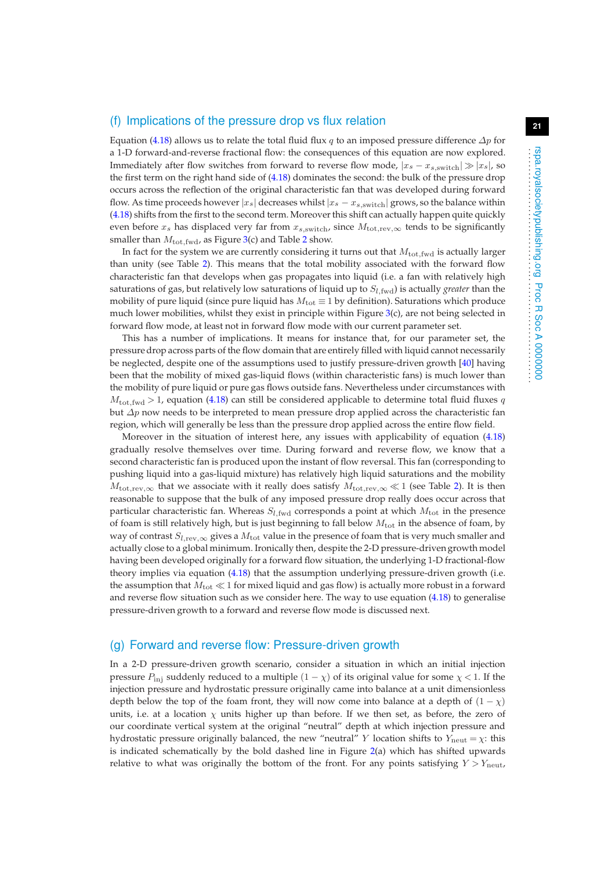#### <span id="page-20-0"></span>(f) Implications of the pressure drop vs flux relation

Equation [\(4.18\)](#page-19-2) allows us to relate the total fluid flux q to an imposed pressure difference  $\Delta p$  for a 1-D forward-and-reverse fractional flow: the consequences of this equation are now explored. Immediately after flow switches from forward to reverse flow mode,  $|x_s - x_{s,\text{switch}}| \gg |x_s|$ , so the first term on the right hand side of [\(4.18\)](#page-19-2) dominates the second: the bulk of the pressure drop occurs across the reflection of the original characteristic fan that was developed during forward flow. As time proceeds however  $|x_s|$  decreases whilst  $|x_s - x_{s,\text{switch}}|$  grows, so the balance within [\(4.18\)](#page-19-2) shifts from the first to the second term. Moreover this shift can actually happen quite quickly even before  $x_s$  has displaced very far from  $x_{s,switch}$ , since  $M_{\text{tot,rev},\infty}$  tends to be significantly smaller than  $M_{\text{tot,fwd}}$ , as Figure [3\(](#page-9-0)c) and Table [2](#page-19-0) show.

In fact for the system we are currently considering it turns out that  $M_{\text{tot,fwd}}$  is actually larger than unity (see Table [2\)](#page-19-0). This means that the total mobility associated with the forward flow characteristic fan that develops when gas propagates into liquid (i.e. a fan with relatively high saturations of gas, but relatively low saturations of liquid up to  $S_{l, \text{fwd}}$  is actually *greater* than the mobility of pure liquid (since pure liquid has  $M_{\text{tot}} \equiv 1$  by definition). Saturations which produce much lower mobilities, whilst they exist in principle within Figure [3\(](#page-9-0)c), are not being selected in forward flow mode, at least not in forward flow mode with our current parameter set.

This has a number of implications. It means for instance that, for our parameter set, the pressure drop across parts of the flow domain that are entirely filled with liquid cannot necessarily be neglected, despite one of the assumptions used to justify pressure-driven growth [\[40\]](#page-25-6) having been that the mobility of mixed gas-liquid flows (within characteristic fans) is much lower than the mobility of pure liquid or pure gas flows outside fans. Nevertheless under circumstances with  $M_{\text{tot,fwd}} > 1$ , equation [\(4.18\)](#page-19-2) can still be considered applicable to determine total fluid fluxes q but  $\Delta p$  now needs to be interpreted to mean pressure drop applied across the characteristic fan region, which will generally be less than the pressure drop applied across the entire flow field.

Moreover in the situation of interest here, any issues with applicability of equation [\(4.18\)](#page-19-2) gradually resolve themselves over time. During forward and reverse flow, we know that a second characteristic fan is produced upon the instant of flow reversal. This fan (corresponding to pushing liquid into a gas-liquid mixture) has relatively high liquid saturations and the mobility  $M_{\text{tot,rev},\infty}$  that we associate with it really does satisfy  $M_{\text{tot,rev},\infty} \ll 1$  (see Table [2\)](#page-19-0). It is then reasonable to suppose that the bulk of any imposed pressure drop really does occur across that particular characteristic fan. Whereas  $S_{l, \text{fwd}}$  corresponds a point at which  $M_{\text{tot}}$  in the presence of foam is still relatively high, but is just beginning to fall below  $M_{\text{tot}}$  in the absence of foam, by way of contrast  $S_{l,\text{rev},\infty}$  gives a  $M_{\text{tot}}$  value in the presence of foam that is very much smaller and actually close to a global minimum. Ironically then, despite the 2-D pressure-driven growth model having been developed originally for a forward flow situation, the underlying 1-D fractional-flow theory implies via equation [\(4.18\)](#page-19-2) that the assumption underlying pressure-driven growth (i.e. the assumption that  $M_{\text{tot}} \ll 1$  for mixed liquid and gas flow) is actually more robust in a forward and reverse flow situation such as we consider here. The way to use equation [\(4.18\)](#page-19-2) to generalise pressure-driven growth to a forward and reverse flow mode is discussed next.

#### <span id="page-20-1"></span>(g) Forward and reverse flow: Pressure-driven growth

In a 2-D pressure-driven growth scenario, consider a situation in which an initial injection pressure  $P_{\text{inj}}$  suddenly reduced to a multiple  $(1 - \chi)$  of its original value for some  $\chi$  < 1. If the injection pressure and hydrostatic pressure originally came into balance at a unit dimensionless depth below the top of the foam front, they will now come into balance at a depth of  $(1 - \chi)$ units, i.e. at a location  $\chi$  units higher up than before. If we then set, as before, the zero of our coordinate vertical system at the original "neutral" depth at which injection pressure and hydrostatic pressure originally balanced, the new "neutral" Y location shifts to  $Y_{\text{neut}} = \chi$ : this is indicated schematically by the bold dashed line in Figure [2\(](#page-4-0)a) which has shifted upwards relative to what was originally the bottom of the front. For any points satisfying  $Y > Y_{\text{neutr}}$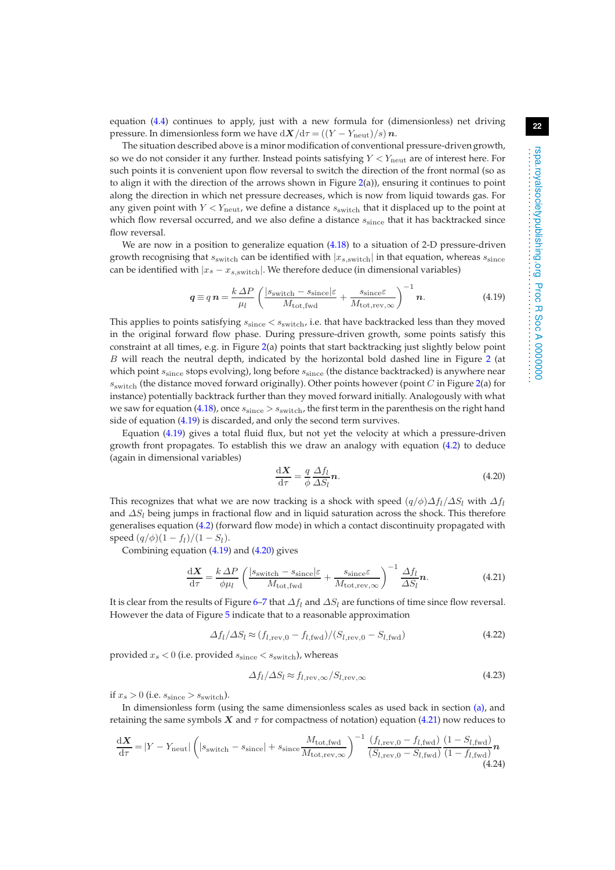**22**

equation [\(4.4\)](#page-10-2) continues to apply, just with a new formula for (dimensionless) net driving pressure. In dimensionless form we have  $d\mathbf{X}/d\tau = ((Y - Y_{\text{neut}})/s)\mathbf{n}$ .

The situation described above is a minor modification of conventional pressure-driven growth, so we do not consider it any further. Instead points satisfying  $Y < Y_{\text{neut}}$  are of interest here. For such points it is convenient upon flow reversal to switch the direction of the front normal (so as to align it with the direction of the arrows shown in Figure [2\(](#page-4-0)a)), ensuring it continues to point along the direction in which net pressure decreases, which is now from liquid towards gas. For any given point with  $Y < Y_{\text{neut}}$ , we define a distance  $s_{\text{switch}}$  that it displaced up to the point at which flow reversal occurred, and we also define a distance  $s<sub>since</sub>$  that it has backtracked since flow reversal.

We are now in a position to generalize equation  $(4.18)$  to a situation of 2-D pressure-driven growth recognising that  $s_{\text{switch}}$  can be identified with  $|x_{s,\text{switch}}|$  in that equation, whereas  $s_{\text{since}}$ can be identified with  $|x_s - x_{s,\text{switch}}|$ . We therefore deduce (in dimensional variables)

<span id="page-21-0"></span>
$$
\boldsymbol{q} \equiv q \,\boldsymbol{n} = \frac{k \,\Delta P}{\mu_l} \left( \frac{|s_{\text{switch}} - s_{\text{since}}| \varepsilon}{M_{\text{tot,fwd}}} + \frac{s_{\text{since}} \varepsilon}{M_{\text{tot,rev},\infty}} \right)^{-1} \boldsymbol{n}. \tag{4.19}
$$

This applies to points satisfying  $s_{\rm since} < s_{\rm switch}$ , i.e. that have backtracked less than they moved in the original forward flow phase. During pressure-driven growth, some points satisfy this constraint at all times, e.g. in Figure [2\(](#page-4-0)a) points that start backtracking just slightly below point B will reach the neutral depth, indicated by the horizontal bold dashed line in Figure [2](#page-4-0) (at which point  $s<sub>since</sub> stops evolving)$ , long before  $s<sub>since</sub>$  (the distance backtracked) is anywhere near  $s<sub>switch</sub>$  (the distance moved forward originally). Other points however (point C in Figure [2\(](#page-4-0)a) for instance) potentially backtrack further than they moved forward initially. Analogously with what we saw for equation [\(4.18\)](#page-19-2), once  $s<sub>since</sub> > s<sub>switch</sub>$ , the first term in the parenthesis on the right hand side of equation [\(4.19\)](#page-21-0) is discarded, and only the second term survives.

Equation [\(4.19\)](#page-21-0) gives a total fluid flux, but not yet the velocity at which a pressure-driven growth front propagates. To establish this we draw an analogy with equation [\(4.2\)](#page-8-2) to deduce (again in dimensional variables)

<span id="page-21-1"></span>
$$
\frac{\mathrm{d}\mathbf{X}}{\mathrm{d}\tau} = \frac{q}{\phi} \frac{\Delta f_l}{\Delta S_l} \mathbf{n}.\tag{4.20}
$$

This recognizes that what we are now tracking is a shock with speed  $(q/\phi)\Delta f_l/\Delta S_l$  with  $\Delta f_l$ and  $\Delta S_l$  being jumps in fractional flow and in liquid saturation across the shock. This therefore generalises equation [\(4.2\)](#page-8-2) (forward flow mode) in which a contact discontinuity propagated with speed  $(q/\phi)(1 - f_l)/(1 - S_l)$ .

Combining equation [\(4.19\)](#page-21-0) and [\(4.20\)](#page-21-1) gives

<span id="page-21-2"></span>
$$
\frac{\mathrm{d}\mathbf{X}}{\mathrm{d}\tau} = \frac{k\,\Delta P}{\phi\mu_l} \left( \frac{|s_{\text{switch}} - s_{\text{since}}|\varepsilon}{M_{\text{tot,fwd}}} + \frac{s_{\text{since}}\varepsilon}{M_{\text{tot,rev},\infty}} \right)^{-1} \frac{\Delta f_l}{\Delta S_l} \mathbf{n}.\tag{4.21}
$$

It is clear from the results of Figure [6](#page-15-0)[–7](#page-16-1) that  $\Delta f_l$  and  $\Delta S_l$  are functions of time since flow reversal. However the data of Figure [5](#page-13-0) indicate that to a reasonable approximation

<span id="page-21-3"></span>
$$
\Delta f_l / \Delta S_l \approx (f_{l,\text{rev},0} - f_{l,\text{fwd}}) / (S_{l,\text{rev},0} - S_{l,\text{fwd}})
$$
\n(4.22)

provided  $x_s < 0$  (i.e. provided  $s_{\text{since}} < s_{\text{switch}}$ ), whereas

<span id="page-21-4"></span>
$$
\Delta f_l / \Delta S_l \approx f_{l, \text{rev}, \infty} / S_{l, \text{rev}, \infty} \tag{4.23}
$$

if  $x_s > 0$  (i.e.  $s_{\text{since}} > s_{\text{switch}}$ ).

In dimensionless form (using the same dimensionless scales as used back in section [\(a\),](#page-8-1) and retaining the same symbols X and  $\tau$  for compactness of notation) equation [\(4.21\)](#page-21-2) now reduces to

<span id="page-21-5"></span>
$$
\frac{dX}{d\tau} = |Y - Y_{\text{neut}}| \left( |s_{\text{switch}} - s_{\text{since}}| + s_{\text{since}} \frac{M_{\text{tot,fwd}}}{M_{\text{tot,rev},\infty}} \right)^{-1} \frac{(f_{l,\text{rev},0} - f_{l,\text{fwd}})}{(S_{l,\text{rev},0} - S_{l,\text{fwd}})} \frac{(1 - S_{l,\text{fwd}})}{(1 - f_{l,\text{fwd}})} n \tag{4.24}
$$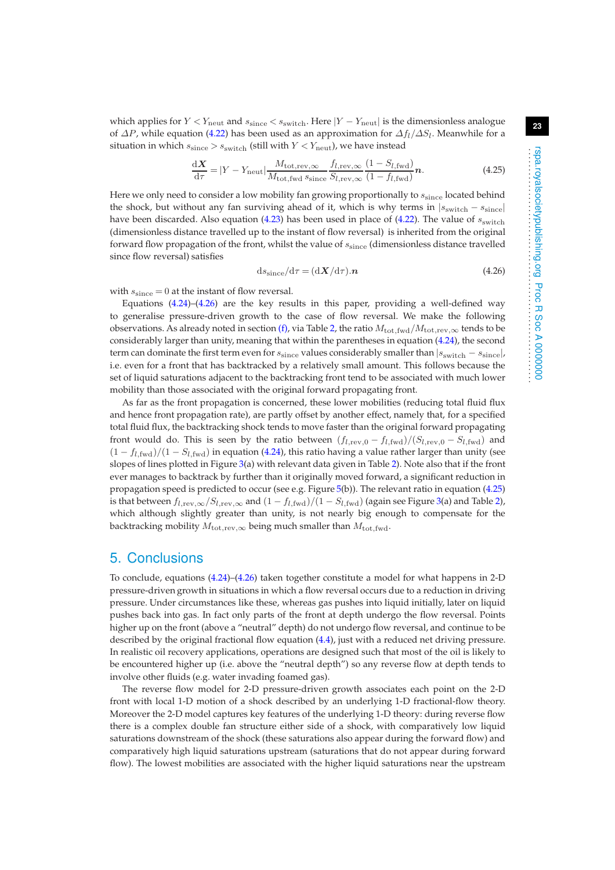which applies for  $Y < Y_{\text{neut}}$  and  $s_{\text{since}} < s_{\text{switch}}$ . Here  $|Y - Y_{\text{neut}}|$  is the dimensionless analogue of  $\Delta P$ , while equation [\(4.22\)](#page-21-3) has been used as an approximation for  $\Delta f_l/\Delta S_l$ . Meanwhile for a situation in which  $s_{\text{since}} > s_{\text{switch}}$  (still with  $Y < Y_{\text{neut}}$ ), we have instead

<span id="page-22-2"></span>
$$
\frac{dX}{d\tau} = |Y - Y_{\text{neut}}| \frac{M_{\text{tot,rev},\infty}}{M_{\text{tot,fwd}} s_{\text{since}}} \frac{f_{l,\text{rev},\infty}}{S_{l,\text{rev},\infty}} \frac{(1 - S_{l,\text{fwd}})}{(1 - f_{l,\text{fwd}})} \boldsymbol{n}.
$$
(4.25)

Here we only need to consider a low mobility fan growing proportionally to  $s<sub>since</sub>$  located behind the shock, but without any fan surviving ahead of it, which is why terms in  $|s_{\text{switch}} - s_{\text{since}}|$ have been discarded. Also equation [\(4.23\)](#page-21-4) has been used in place of [\(4.22\)](#page-21-3). The value of  $s_{switch}$ (dimensionless distance travelled up to the instant of flow reversal) is inherited from the original forward flow propagation of the front, whilst the value of  $s<sub>since</sub>$  (dimensionless distance travelled since flow reversal) satisfies

<span id="page-22-1"></span>
$$
ds_{since}/d\tau = (d\mathbf{X}/d\tau).\mathbf{n}
$$
\n(4.26)

with  $s<sub>since</sub> = 0$  at the instant of flow reversal.

Equations  $(4.24)$ – $(4.26)$  are the key results in this paper, providing a well-defined way to generalise pressure-driven growth to the case of flow reversal. We make the following observations. As already noted in section [\(f\),](#page-20-0) via Table [2,](#page-19-0) the ratio  $M_{\text{tot,fwd}}/M_{\text{tot,rev},\infty}$  tends to be considerably larger than unity, meaning that within the parentheses in equation [\(4.24\)](#page-21-5), the second term can dominate the first term even for  $s<sub>since</sub>$  values considerably smaller than  $|s<sub>switch</sub> - s<sub>since</sub>|$ , i.e. even for a front that has backtracked by a relatively small amount. This follows because the set of liquid saturations adjacent to the backtracking front tend to be associated with much lower mobility than those associated with the original forward propagating front.

As far as the front propagation is concerned, these lower mobilities (reducing total fluid flux and hence front propagation rate), are partly offset by another effect, namely that, for a specified total fluid flux, the backtracking shock tends to move faster than the original forward propagating front would do. This is seen by the ratio between  $(f_{l,\text{rev},0} - f_{l,\text{fwd}})/(S_{l,\text{rev},0} - S_{l,\text{fwd}})$  and  $(1 - f_{l,fwd})/(1 - S_{l,fwd})$  in equation [\(4.24\)](#page-21-5), this ratio having a value rather larger than unity (see slopes of lines plotted in Figure [3\(](#page-9-0)a) with relevant data given in Table [2\)](#page-19-0). Note also that if the front ever manages to backtrack by further than it originally moved forward, a significant reduction in propagation speed is predicted to occur (see e.g. Figure [5\(](#page-13-0)b)). The relevant ratio in equation [\(4.25\)](#page-22-2) is that between  $f_{l,\text{rev},\infty}/S_{l,\text{rev},\infty}$  and  $(1 - f_{l,\text{fwd}})/(1 - S_{l,\text{fwd}})$  (again see Figure [3\(](#page-9-0)a) and Table [2\)](#page-19-0), which although slightly greater than unity, is not nearly big enough to compensate for the backtracking mobility  $M_{\text{tot,rev},\infty}$  being much smaller than  $M_{\text{tot,fwd}}$ .

## <span id="page-22-0"></span>5. Conclusions

To conclude, equations [\(4.24\)](#page-21-5)–[\(4.26\)](#page-22-1) taken together constitute a model for what happens in 2-D pressure-driven growth in situations in which a flow reversal occurs due to a reduction in driving pressure. Under circumstances like these, whereas gas pushes into liquid initially, later on liquid pushes back into gas. In fact only parts of the front at depth undergo the flow reversal. Points higher up on the front (above a "neutral" depth) do not undergo flow reversal, and continue to be described by the original fractional flow equation [\(4.4\)](#page-10-2), just with a reduced net driving pressure. In realistic oil recovery applications, operations are designed such that most of the oil is likely to be encountered higher up (i.e. above the "neutral depth") so any reverse flow at depth tends to involve other fluids (e.g. water invading foamed gas).

The reverse flow model for 2-D pressure-driven growth associates each point on the 2-D front with local 1-D motion of a shock described by an underlying 1-D fractional-flow theory. Moreover the 2-D model captures key features of the underlying 1-D theory: during reverse flow there is a complex double fan structure either side of a shock, with comparatively low liquid saturations downstream of the shock (these saturations also appear during the forward flow) and comparatively high liquid saturations upstream (saturations that do not appear during forward flow). The lowest mobilities are associated with the higher liquid saturations near the upstream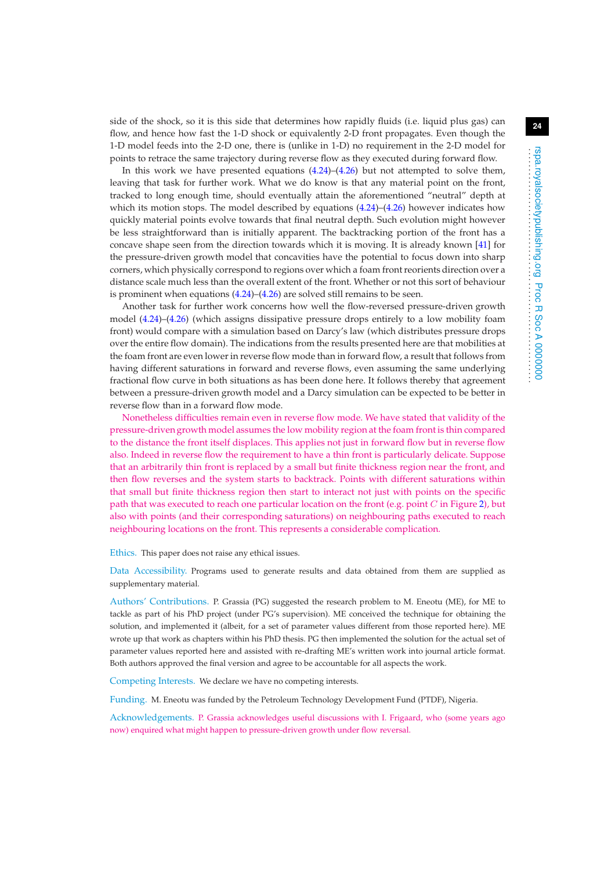side of the shock, so it is this side that determines how rapidly fluids (i.e. liquid plus gas) can flow, and hence how fast the 1-D shock or equivalently 2-D front propagates. Even though the 1-D model feeds into the 2-D one, there is (unlike in 1-D) no requirement in the 2-D model for points to retrace the same trajectory during reverse flow as they executed during forward flow.

In this work we have presented equations  $(4.24)$ – $(4.26)$  but not attempted to solve them, leaving that task for further work. What we do know is that any material point on the front, tracked to long enough time, should eventually attain the aforementioned "neutral" depth at which its motion stops. The model described by equations  $(4.24)$ – $(4.26)$  however indicates how quickly material points evolve towards that final neutral depth. Such evolution might however be less straightforward than is initially apparent. The backtracking portion of the front has a concave shape seen from the direction towards which it is moving. It is already known [\[41\]](#page-25-11) for the pressure-driven growth model that concavities have the potential to focus down into sharp corners, which physically correspond to regions over which a foam front reorients direction over a distance scale much less than the overall extent of the front. Whether or not this sort of behaviour is prominent when equations [\(4.24\)](#page-21-5)–[\(4.26\)](#page-22-1) are solved still remains to be seen.

Another task for further work concerns how well the flow-reversed pressure-driven growth model [\(4.24\)](#page-21-5)–[\(4.26\)](#page-22-1) (which assigns dissipative pressure drops entirely to a low mobility foam front) would compare with a simulation based on Darcy's law (which distributes pressure drops over the entire flow domain). The indications from the results presented here are that mobilities at the foam front are even lower in reverse flow mode than in forward flow, a result that follows from having different saturations in forward and reverse flows, even assuming the same underlying fractional flow curve in both situations as has been done here. It follows thereby that agreement between a pressure-driven growth model and a Darcy simulation can be expected to be better in reverse flow than in a forward flow mode.

Nonetheless difficulties remain even in reverse flow mode. We have stated that validity of the pressure-driven growth model assumes the low mobility region at the foam front is thin compared to the distance the front itself displaces. This applies not just in forward flow but in reverse flow also. Indeed in reverse flow the requirement to have a thin front is particularly delicate. Suppose that an arbitrarily thin front is replaced by a small but finite thickness region near the front, and then flow reverses and the system starts to backtrack. Points with different saturations within that small but finite thickness region then start to interact not just with points on the specific path that was executed to reach one particular location on the front (e.g. point C in Figure [2\)](#page-4-0), but also with points (and their corresponding saturations) on neighbouring paths executed to reach neighbouring locations on the front. This represents a considerable complication.

Ethics. This paper does not raise any ethical issues.

Data Accessibility. Programs used to generate results and data obtained from them are supplied as supplementary material.

Authors' Contributions. P. Grassia (PG) suggested the research problem to M. Eneotu (ME), for ME to tackle as part of his PhD project (under PG's supervision). ME conceived the technique for obtaining the solution, and implemented it (albeit, for a set of parameter values different from those reported here). ME wrote up that work as chapters within his PhD thesis. PG then implemented the solution for the actual set of parameter values reported here and assisted with re-drafting ME's written work into journal article format. Both authors approved the final version and agree to be accountable for all aspects the work.

Competing Interests. We declare we have no competing interests.

Funding. M. Eneotu was funded by the Petroleum Technology Development Fund (PTDF), Nigeria.

Acknowledgements. P. Grassia acknowledges useful discussions with I. Frigaard, who (some years ago now) enquired what might happen to pressure-driven growth under flow reversal.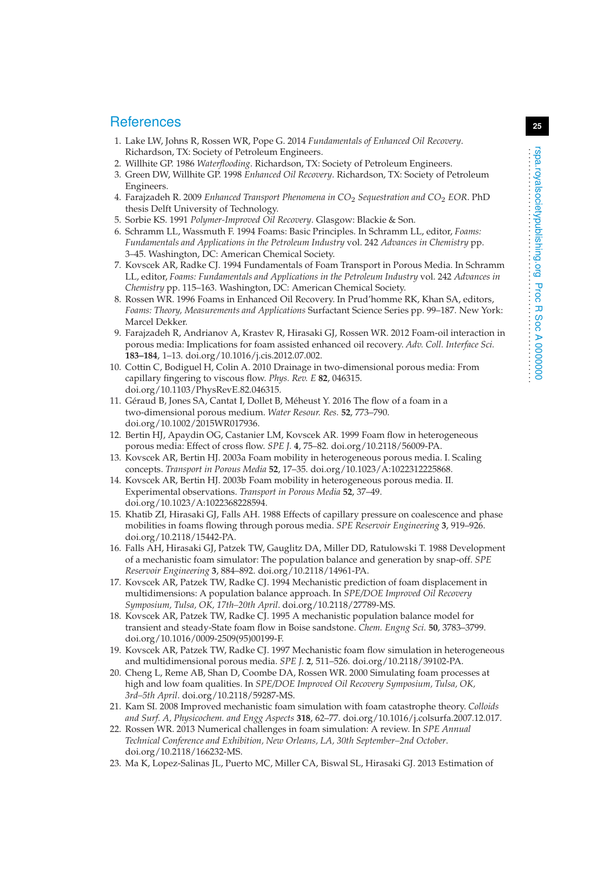## <span id="page-24-0"></span>**References**

- 1. Lake LW, Johns R, Rossen WR, Pope G. 2014 *Fundamentals of Enhanced Oil Recovery*. Richardson, TX: Society of Petroleum Engineers.
- 2. Willhite GP. 1986 *Waterflooding*. Richardson, TX: Society of Petroleum Engineers.
- 3. Green DW, Willhite GP. 1998 *Enhanced Oil Recovery*. Richardson, TX: Society of Petroleum Engineers.
- 4. Farajzadeh R. 2009 *Enhanced Transport Phenomena in CO*2 *Sequestration and CO*2 *EOR*. PhD thesis Delft University of Technology.
- <span id="page-24-2"></span><span id="page-24-1"></span>5. Sorbie KS. 1991 *Polymer-Improved Oil Recovery*. Glasgow: Blackie & Son.
- 6. Schramm LL, Wassmuth F. 1994 Foams: Basic Principles. In Schramm LL, editor, *Foams: Fundamentals and Applications in the Petroleum Industry* vol. 242 *Advances in Chemistry* pp. 3–45. Washington, DC: American Chemical Society.
- 7. Kovscek AR, Radke CJ. 1994 Fundamentals of Foam Transport in Porous Media. In Schramm LL, editor, *Foams: Fundamentals and Applications in the Petroleum Industry* vol. 242 *Advances in Chemistry* pp. 115–163. Washington, DC: American Chemical Society.
- <span id="page-24-4"></span>8. Rossen WR. 1996 Foams in Enhanced Oil Recovery. In Prud'homme RK, Khan SA, editors, *Foams: Theory, Measurements and Applications* Surfactant Science Series pp. 99–187. New York: Marcel Dekker.
- <span id="page-24-3"></span>9. Farajzadeh R, Andrianov A, Krastev R, Hirasaki GJ, Rossen WR. 2012 Foam-oil interaction in porous media: Implications for foam assisted enhanced oil recovery. *Adv. Coll. Interface Sci.* **183–184**, 1–13. doi.org/10.1016/j.cis.2012.07.002.
- <span id="page-24-5"></span>10. Cottin C, Bodiguel H, Colin A. 2010 Drainage in two-dimensional porous media: From capillary fingering to viscous flow. *Phys. Rev. E* **82**, 046315. doi.org/10.1103/PhysRevE.82.046315.
- <span id="page-24-6"></span>11. Géraud B, Jones SA, Cantat I, Dollet B, Méheust Y. 2016 The flow of a foam in a two-dimensional porous medium. *Water Resour. Res.* **52**, 773–790. doi.org/10.1002/2015WR017936.
- <span id="page-24-7"></span>12. Bertin HJ, Apaydin OG, Castanier LM, Kovscek AR. 1999 Foam flow in heterogeneous porous media: Effect of cross flow. *SPE J.* **4**, 75–82. doi.org/10.2118/56009-PA.
- 13. Kovscek AR, Bertin HJ. 2003a Foam mobility in heterogeneous porous media. I. Scaling concepts. *Transport in Porous Media* **52**, 17–35. doi.org/10.1023/A:1022312225868.
- <span id="page-24-8"></span>14. Kovscek AR, Bertin HJ. 2003b Foam mobility in heterogeneous porous media. II. Experimental observations. *Transport in Porous Media* **52**, 37–49. doi.org/10.1023/A:1022368228594.
- <span id="page-24-9"></span>15. Khatib ZI, Hirasaki GJ, Falls AH. 1988 Effects of capillary pressure on coalescence and phase mobilities in foams flowing through porous media. *SPE Reservoir Engineering* **3**, 919–926. doi.org/10.2118/15442-PA.
- 16. Falls AH, Hirasaki GJ, Patzek TW, Gauglitz DA, Miller DD, Ratulowski T. 1988 Development of a mechanistic foam simulator: The population balance and generation by snap-off. *SPE Reservoir Engineering* **3**, 884–892. doi.org/10.2118/14961-PA.
- 17. Kovscek AR, Patzek TW, Radke CJ. 1994 Mechanistic prediction of foam displacement in multidimensions: A population balance approach. In *SPE/DOE Improved Oil Recovery Symposium, Tulsa, OK, 17th–20th April*. doi.org/10.2118/27789-MS.
- <span id="page-24-10"></span>18. Kovscek AR, Patzek TW, Radke CJ. 1995 A mechanistic population balance model for transient and steady-State foam flow in Boise sandstone. *Chem. Engng Sci.* **50**, 3783–3799. doi.org/10.1016/0009-2509(95)00199-F.
- <span id="page-24-11"></span>19. Kovscek AR, Patzek TW, Radke CJ. 1997 Mechanistic foam flow simulation in heterogeneous and multidimensional porous media. *SPE J.* **2**, 511–526. doi.org/10.2118/39102-PA.
- <span id="page-24-13"></span>20. Cheng L, Reme AB, Shan D, Coombe DA, Rossen WR. 2000 Simulating foam processes at high and low foam qualities. In *SPE/DOE Improved Oil Recovery Symposium, Tulsa, OK, 3rd–5th April*. doi.org/10.2118/59287-MS.
- 21. Kam SI. 2008 Improved mechanistic foam simulation with foam catastrophe theory. *Colloids and Surf. A, Physicochem. and Engg Aspects* **318**, 62–77. doi.org/10.1016/j.colsurfa.2007.12.017.
- 22. Rossen WR. 2013 Numerical challenges in foam simulation: A review. In *SPE Annual Technical Conference and Exhibition, New Orleans, LA, 30th September–2nd October*. doi.org/10.2118/166232-MS.
- <span id="page-24-12"></span>23. Ma K, Lopez-Salinas JL, Puerto MC, Miller CA, Biswal SL, Hirasaki GJ. 2013 Estimation of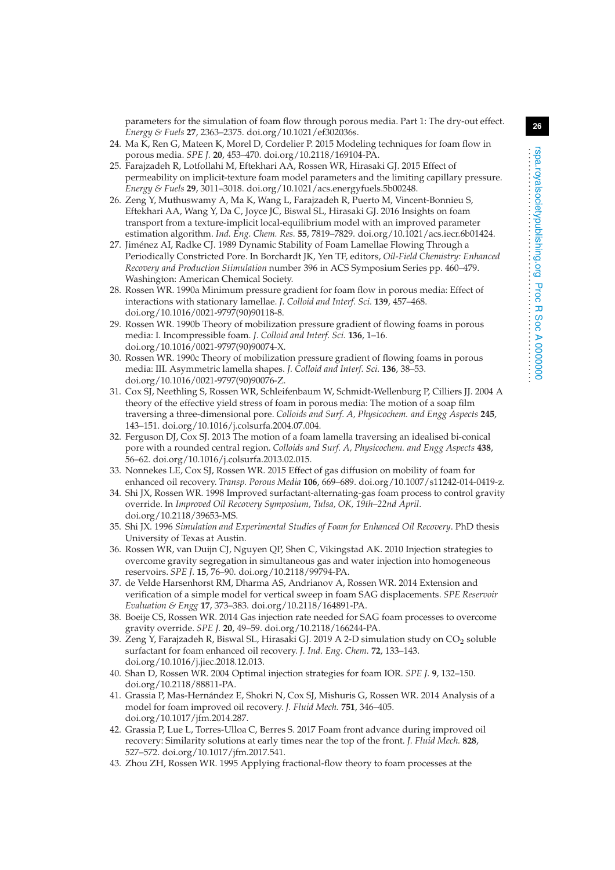parameters for the simulation of foam flow through porous media. Part 1: The dry-out effect. *Energy & Fuels* **27**, 2363–2375. doi.org/10.1021/ef302036s.

- <span id="page-25-3"></span>24. Ma K, Ren G, Mateen K, Morel D, Cordelier P. 2015 Modeling techniques for foam flow in porous media. *SPE J.* **20**, 453–470. doi.org/10.2118/169104-PA.
- <span id="page-25-13"></span>25. Farajzadeh R, Lotfollahi M, Eftekhari AA, Rossen WR, Hirasaki GJ. 2015 Effect of permeability on implicit-texture foam model parameters and the limiting capillary pressure. *Energy & Fuels* **29**, 3011–3018. doi.org/10.1021/acs.energyfuels.5b00248.
- <span id="page-25-0"></span>26. Zeng Y, Muthuswamy A, Ma K, Wang L, Farajzadeh R, Puerto M, Vincent-Bonnieu S, Eftekhari AA, Wang Y, Da C, Joyce JC, Biswal SL, Hirasaki GJ. 2016 Insights on foam transport from a texture-implicit local-equilibrium model with an improved parameter estimation algorithm. *Ind. Eng. Chem. Res.* **55**, 7819–7829. doi.org/10.1021/acs.iecr.6b01424.
- <span id="page-25-1"></span>27. Jiménez AI, Radke CJ. 1989 Dynamic Stability of Foam Lamellae Flowing Through a Periodically Constricted Pore. In Borchardt JK, Yen TF, editors, *Oil-Field Chemistry: Enhanced Recovery and Production Stimulation* number 396 in ACS Symposium Series pp. 460–479. Washington: American Chemical Society.
- 28. Rossen WR. 1990a Minimum pressure gradient for foam flow in porous media: Effect of interactions with stationary lamellae. *J. Colloid and Interf. Sci.* **139**, 457–468. doi.org/10.1016/0021-9797(90)90118-8.
- 29. Rossen WR. 1990b Theory of mobilization pressure gradient of flowing foams in porous media: I. Incompressible foam. *J. Colloid and Interf. Sci.* **136**, 1–16. doi.org/10.1016/0021-9797(90)90074-X.
- 30. Rossen WR. 1990c Theory of mobilization pressure gradient of flowing foams in porous media: III. Asymmetric lamella shapes. *J. Colloid and Interf. Sci.* **136**, 38–53. doi.org/10.1016/0021-9797(90)90076-Z.
- 31. Cox SJ, Neethling S, Rossen WR, Schleifenbaum W, Schmidt-Wellenburg P, Cilliers JJ. 2004 A theory of the effective yield stress of foam in porous media: The motion of a soap film traversing a three-dimensional pore. *Colloids and Surf. A, Physicochem. and Engg Aspects* **245**, 143–151. doi.org/10.1016/j.colsurfa.2004.07.004.
- 32. Ferguson DJ, Cox SJ. 2013 The motion of a foam lamella traversing an idealised bi-conical pore with a rounded central region. *Colloids and Surf. A, Physicochem. and Engg Aspects* **438**, 56–62. doi.org/10.1016/j.colsurfa.2013.02.015.
- <span id="page-25-2"></span>33. Nonnekes LE, Cox SJ, Rossen WR. 2015 Effect of gas diffusion on mobility of foam for enhanced oil recovery. *Transp. Porous Media* **106**, 669–689. doi.org/10.1007/s11242-014-0419-z.
- <span id="page-25-4"></span>34. Shi JX, Rossen WR. 1998 Improved surfactant-alternating-gas foam process to control gravity override. In *Improved Oil Recovery Symposium, Tulsa, OK, 19th–22nd April*. doi.org/10.2118/39653-MS.
- <span id="page-25-12"></span>35. Shi JX. 1996 *Simulation and Experimental Studies of Foam for Enhanced Oil Recovery*. PhD thesis University of Texas at Austin.
- 36. Rossen WR, van Duijn CJ, Nguyen QP, Shen C, Vikingstad AK. 2010 Injection strategies to overcome gravity segregation in simultaneous gas and water injection into homogeneous reservoirs. *SPE J.* **15**, 76–90. doi.org/10.2118/99794-PA.
- <span id="page-25-9"></span>37. de Velde Harsenhorst RM, Dharma AS, Andrianov A, Rossen WR. 2014 Extension and verification of a simple model for vertical sweep in foam SAG displacements. *SPE Reservoir Evaluation & Engg* **17**, 373–383. doi.org/10.2118/164891-PA.
- <span id="page-25-10"></span>38. Boeije CS, Rossen WR. 2014 Gas injection rate needed for SAG foam processes to overcome gravity override. *SPE J.* **20**, 49–59. doi.org/10.2118/166244-PA.
- <span id="page-25-5"></span>39. Zeng Y, Farajzadeh R, Biswal SL, Hirasaki GJ. 2019 A 2-D simulation study on  $CO<sub>2</sub>$  soluble surfactant for foam enhanced oil recovery. *J. Ind. Eng. Chem.* **72**, 133–143. doi.org/10.1016/j.jiec.2018.12.013.
- <span id="page-25-6"></span>40. Shan D, Rossen WR. 2004 Optimal injection strategies for foam IOR. *SPE J.* **9**, 132–150. doi.org/10.2118/88811-PA.
- <span id="page-25-11"></span>41. Grassia P, Mas-Hernández E, Shokri N, Cox SJ, Mishuris G, Rossen WR. 2014 Analysis of a model for foam improved oil recovery. *J. Fluid Mech.* **751**, 346–405. doi.org/10.1017/jfm.2014.287.
- <span id="page-25-7"></span>42. Grassia P, Lue L, Torres-Ulloa C, Berres S. 2017 Foam front advance during improved oil recovery: Similarity solutions at early times near the top of the front. *J. Fluid Mech.* **828**, 527–572. doi.org/10.1017/jfm.2017.541.
- <span id="page-25-8"></span>43. Zhou ZH, Rossen WR. 1995 Applying fractional-flow theory to foam processes at the